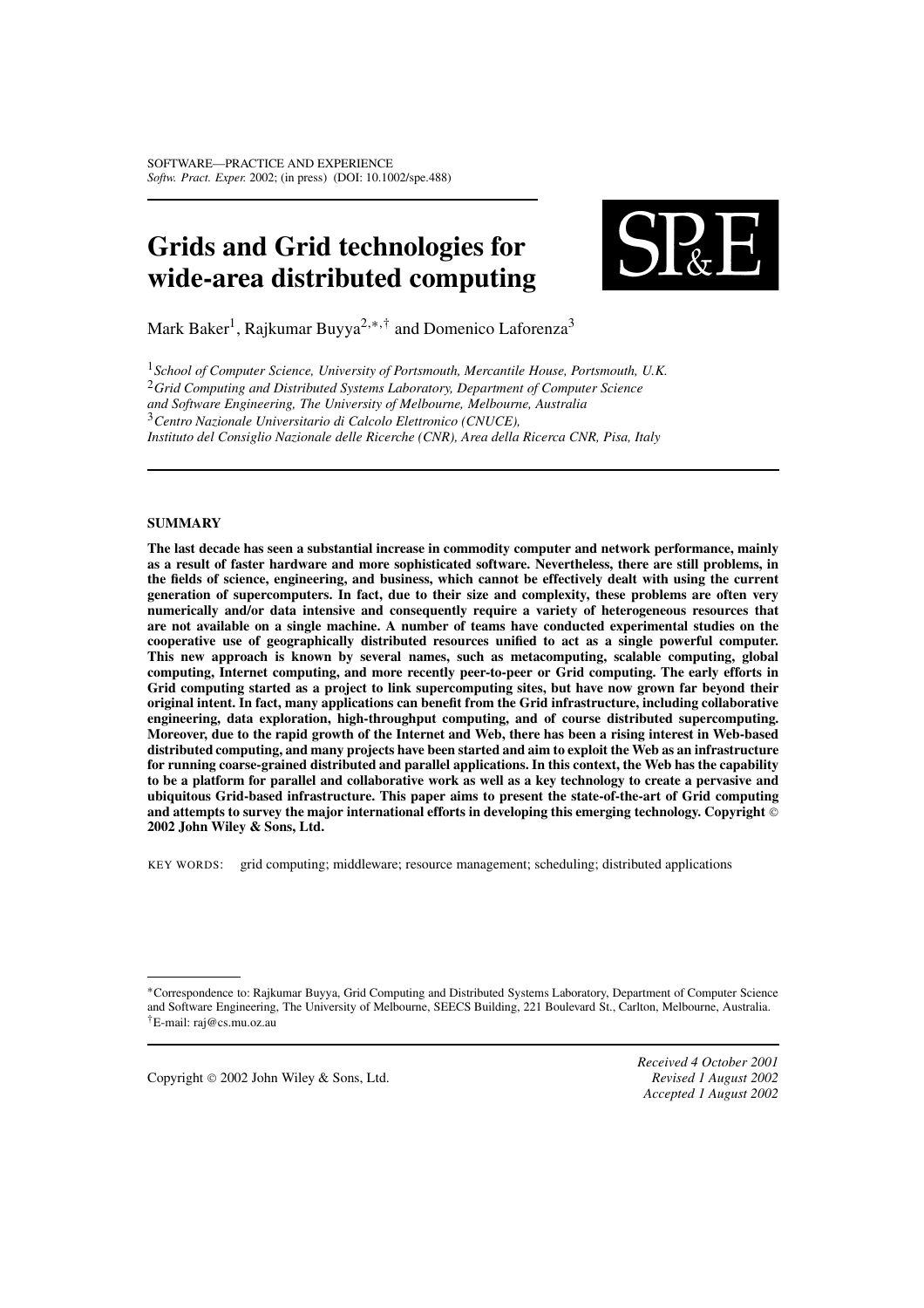# **Grids and Grid technologies for wide-area distributed computing**



Mark Baker<sup>1</sup>, Rajkumar Buyya<sup>2,∗,†</sup> and Domenico Laforenza<sup>3</sup>

<sup>1</sup>*School of Computer Science, University of Portsmouth, Mercantile House, Portsmouth, U.K.* <sup>2</sup>*Grid Computing and Distributed Systems Laboratory, Department of Computer Science and Software Engineering, The University of Melbourne, Melbourne, Australia* <sup>3</sup>*Centro Nazionale Universitario di Calcolo Elettronico (CNUCE), Instituto del Consiglio Nazionale delle Ricerche (CNR), Area della Ricerca CNR, Pisa, Italy*

## **SUMMARY**

**The last decade has seen a substantial increase in commodity computer and network performance, mainly as a result of faster hardware and more sophisticated software. Nevertheless, there are still problems, in the fields of science, engineering, and business, which cannot be effectively dealt with using the current generation of supercomputers. In fact, due to their size and complexity, these problems are often very numerically and/or data intensive and consequently require a variety of heterogeneous resources that are not available on a single machine. A number of teams have conducted experimental studies on the cooperative use of geographically distributed resources unified to act as a single powerful computer. This new approach is known by several names, such as metacomputing, scalable computing, global computing, Internet computing, and more recently peer-to-peer or Grid computing. The early efforts in Grid computing started as a project to link supercomputing sites, but have now grown far beyond their original intent. In fact, many applications can benefit from the Grid infrastructure, including collaborative engineering, data exploration, high-throughput computing, and of course distributed supercomputing. Moreover, due to the rapid growth of the Internet and Web, there has been a rising interest in Web-based distributed computing, and many projects have been started and aim to exploit the Web as an infrastructure for running coarse-grained distributed and parallel applications. In this context, the Web has the capability to be a platform for parallel and collaborative work as well as a key technology to create a pervasive and ubiquitous Grid-based infrastructure. This paper aims to present the state-of-the-art of Grid computing and attempts to survey the major international efforts in developing this emerging technology. Copyright 2002 John Wiley & Sons, Ltd.**

KEY WORDS: grid computing; middleware; resource management; scheduling; distributed applications

Copyright  $\odot$  2002 John Wiley & Sons, Ltd.

*Received 4 October 2001 Revised 1 August 2002 Accepted 1 August 2002*

<sup>∗</sup>Correspondence to: Rajkumar Buyya, Grid Computing and Distributed Systems Laboratory, Department of Computer Science and Software Engineering, The University of Melbourne, SEECS Building, 221 Boulevard St., Carlton, Melbourne, Australia. †E-mail: raj@cs.mu.oz.au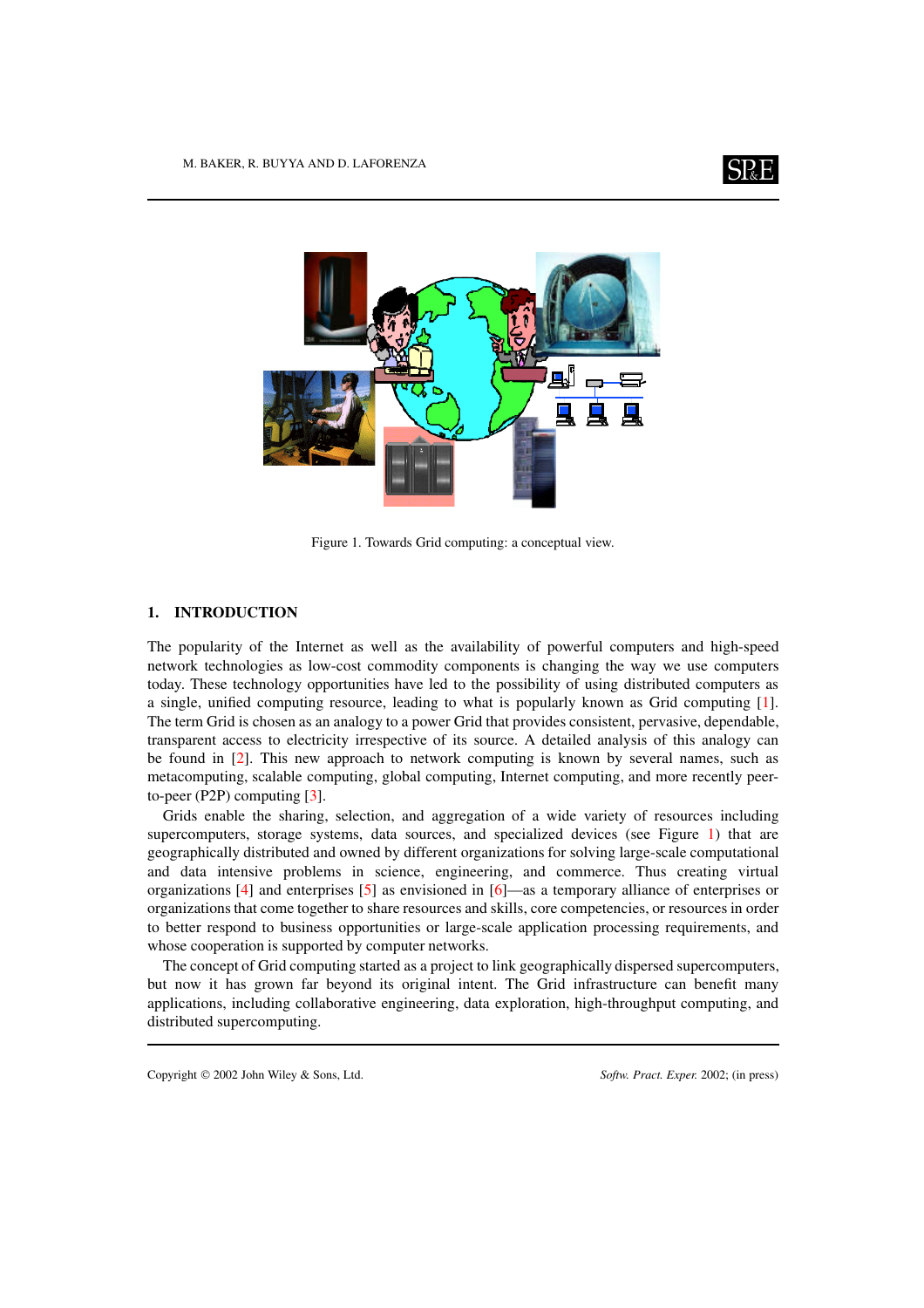

<span id="page-1-0"></span>

Figure 1. Towards Grid computing: a conceptual view.

#### **1. INTRODUCTION**

The popularity of the Internet as well as the availability of powerful computers and high-speed network technologies as low-cost commodity components is changing the way we use computers today. These technology opportunities have led to the possibility of using distributed computers as a single, unified computing resource, leading to what is popularly known as Grid computing [[1\]](#page-27-3). The term Grid is chosen as an analogy to a power Grid that provides consistent, pervasive, dependable, transparent access to electricity irrespective of its source. A detailed analysis of this analogy can be found in [\[2](#page-27-1)]. This new approach to network computing is known by several names, such as metacomputing, scalable computing, global computing, Internet computing, and more recently peerto-peer (P2P) computing [\[3](#page-27-0)].

Grids enable the sharing, selection, and aggregation of a wide variety of resources including supercomputers, storage systems, data sources, and specialized devices (see Figure [1\)](#page-1-0) that are geographically distributed and owned by different organizations for solving large-scale computational and data intensive problems in science, engineering, and commerce. Thus creating virtual organizations [\[4](#page-27-2)] and enterprises [\[5\]](#page-28-0) as envisioned in [\[6\]](#page-28-1)—as a temporary alliance of enterprises or organizations that come together to share resources and skills, core competencies, or resources in order to better respond to business opportunities or large-scale application processing requirements, and whose cooperation is supported by computer networks.

The concept of Grid computing started as a project to link geographically dispersed supercomputers, but now it has grown far beyond its original intent. The Grid infrastructure can benefit many applications, including collaborative engineering, data exploration, high-throughput computing, and distributed supercomputing.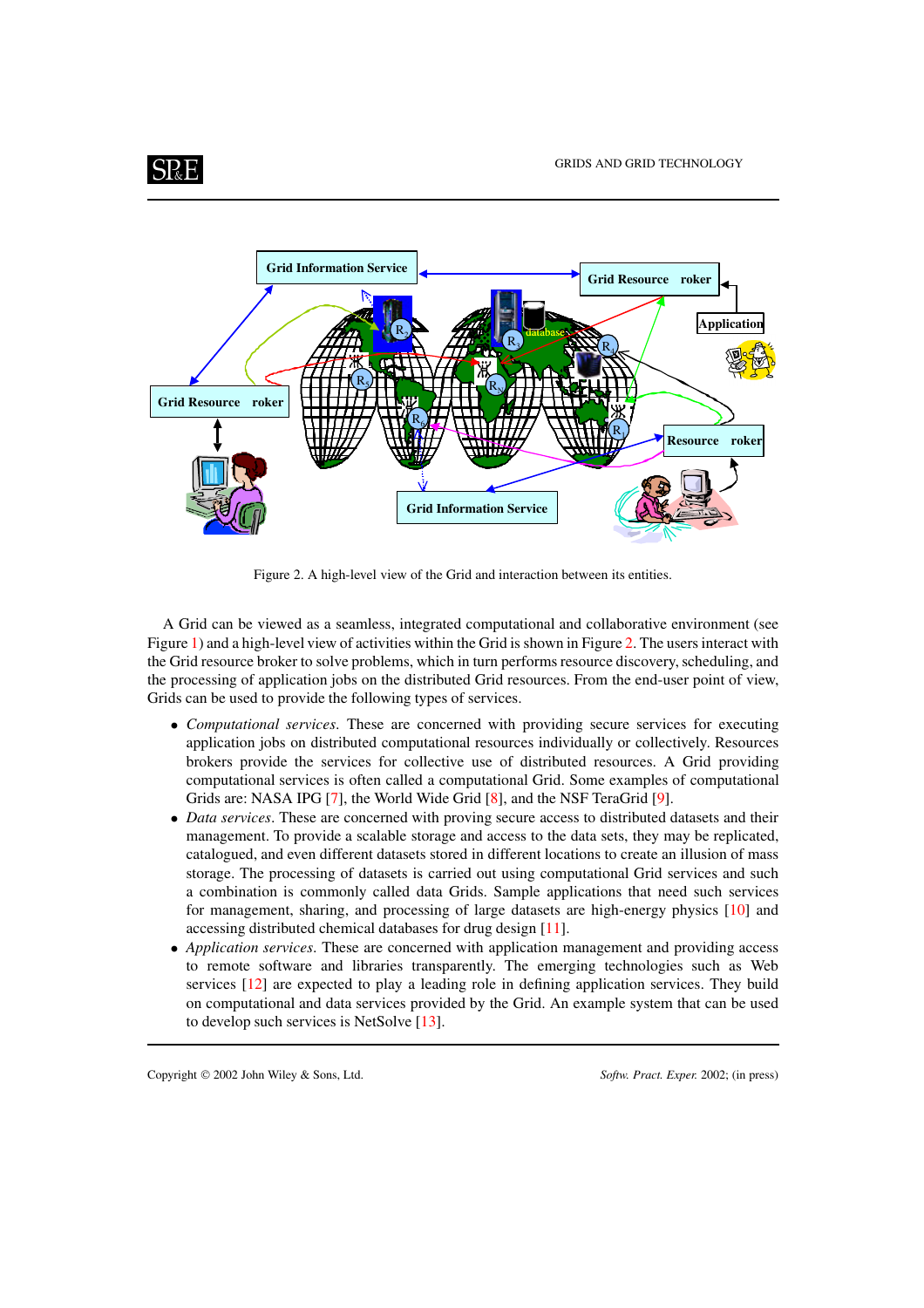

Figure 2. A high-level view of the Grid and interaction between its entities.

A Grid can be viewed as a seamless, integrated computational and collaborative environment (see Figure [1\)](#page-1-0) and a high-level view of activities within the Grid is shown in Figure [2.](#page-2-0) The users interact with the Grid resource broker to solve problems, which in turn performs resource discovery, scheduling, and the processing of application jobs on the distributed Grid resources. From the end-user point of view, Grids can be used to provide the following types of services.

- *Computational services*. These are concerned with providing secure services for executing application jobs on distributed computational resources individually or collectively. Resources brokers provide the services for collective use of distributed resources. A Grid providing computational services is often called a computational Grid. Some examples of computational Grids are: NASA IPG [[7\]](#page-28-4), the World Wide Grid [[8\]](#page-28-2), and the NSF TeraGrid [\[9](#page-28-7)].
- *Data services*. These are concerned with proving secure access to distributed datasets and their management. To provide a scalable storage and access to the data sets, they may be replicated, catalogued, and even different datasets stored in different locations to create an illusion of mass storage. The processing of datasets is carried out using computational Grid services and such a combination is commonly called data Grids. Sample applications that need such services for management, sharing, and processing of large datasets are high-energy physics [[10\]](#page-28-3) and accessing distributed chemical databases for drug design [\[11](#page-28-5)].
- *Application services*. These are concerned with application management and providing access to remote software and libraries transparently. The emerging technologies such as Web services [[12\]](#page-28-6) are expected to play a leading role in defining application services. They build on computational and data services provided by the Grid. An example system that can be used to develop such services is NetSolve [[13\]](#page-28-8).

Copyright 2002 John Wiley & Sons, Ltd. *Softw. Pract. Exper.* 2002; (in press)

# <span id="page-2-0"></span>SR E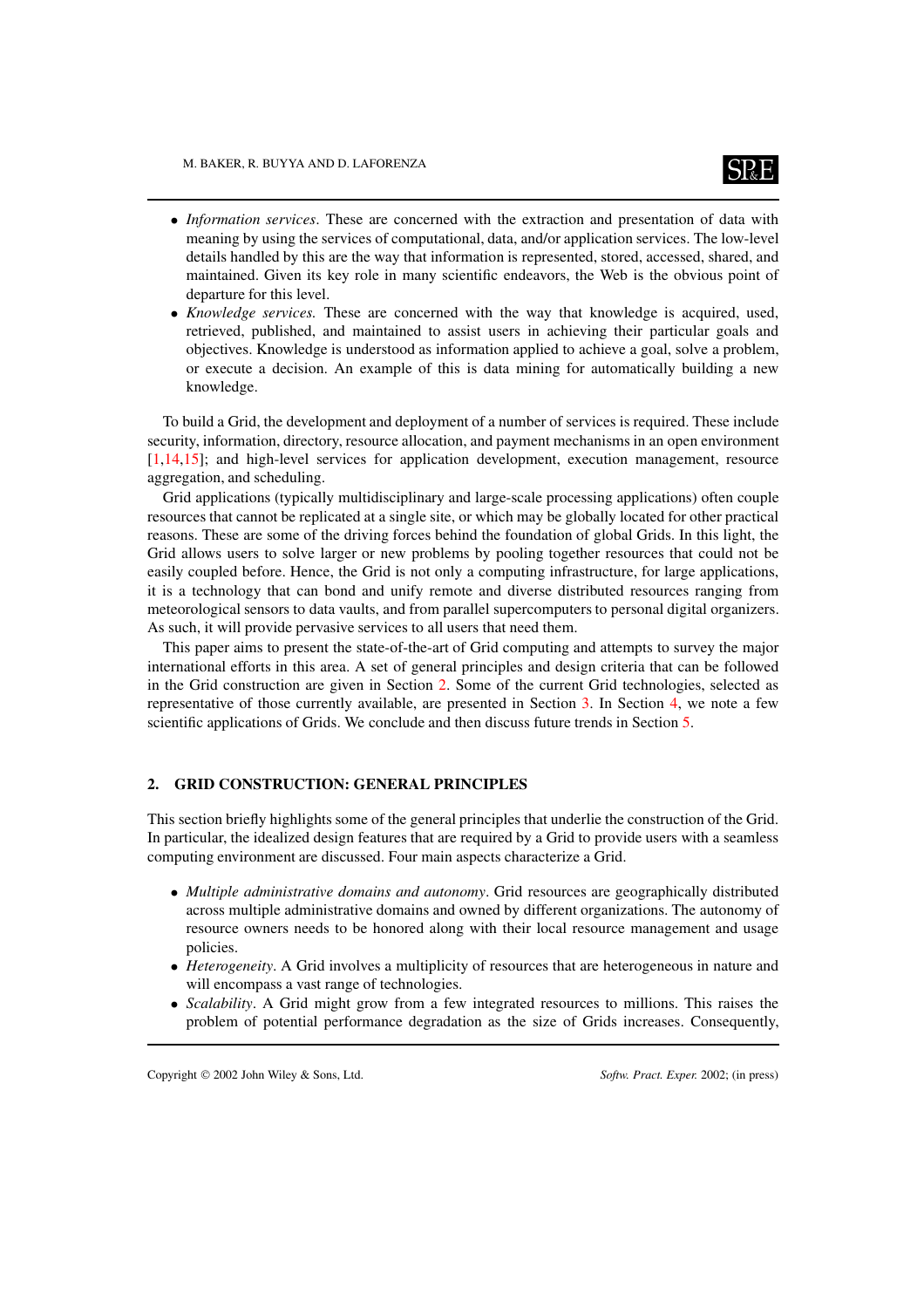

- *Information services*. These are concerned with the extraction and presentation of data with meaning by using the services of computational, data, and/or application services. The low-level details handled by this are the way that information is represented, stored, accessed, shared, and maintained. Given its key role in many scientific endeavors, the Web is the obvious point of departure for this level.
- *Knowledge services.* These are concerned with the way that knowledge is acquired, used, retrieved, published, and maintained to assist users in achieving their particular goals and objectives. Knowledge is understood as information applied to achieve a goal, solve a problem, or execute a decision. An example of this is data mining for automatically building a new knowledge.

To build a Grid, the development and deployment of a number of services is required. These include security, information, directory, resource allocation, and payment mechanisms in an open environment [\[1](#page-27-3),[14,](#page-28-10)[15](#page-28-9)]; and high-level services for application development, execution management, resource aggregation, and scheduling.

Grid applications (typically multidisciplinary and large-scale processing applications) often couple resources that cannot be replicated at a single site, or which may be globally located for other practical reasons. These are some of the driving forces behind the foundation of global Grids. In this light, the Grid allows users to solve larger or new problems by pooling together resources that could not be easily coupled before. Hence, the Grid is not only a computing infrastructure, for large applications, it is a technology that can bond and unify remote and diverse distributed resources ranging from meteorological sensors to data vaults, and from parallel supercomputers to personal digital organizers. As such, it will provide pervasive services to all users that need them.

This paper aims to present the state-of-the-art of Grid computing and attempts to survey the major international efforts in this area. A set of general principles and design criteria that can be followed in the Grid construction are given in Section [2.](#page-3-0) Some of the current Grid technologies, selected as representative of those currently available, are presented in Section [3.](#page-7-0) In Section [4,](#page-24-0) we note a few scientific applications of Grids. We conclude and then discuss future trends in Section [5.](#page-26-0)

## <span id="page-3-0"></span>**2. GRID CONSTRUCTION: GENERAL PRINCIPLES**

This section briefly highlights some of the general principles that underlie the construction of the Grid. In particular, the idealized design features that are required by a Grid to provide users with a seamless computing environment are discussed. Four main aspects characterize a Grid.

- *Multiple administrative domains and autonomy*. Grid resources are geographically distributed across multiple administrative domains and owned by different organizations. The autonomy of resource owners needs to be honored along with their local resource management and usage policies.
- *Heterogeneity*. A Grid involves a multiplicity of resources that are heterogeneous in nature and will encompass a vast range of technologies.
- *Scalability*. A Grid might grow from a few integrated resources to millions. This raises the problem of potential performance degradation as the size of Grids increases. Consequently,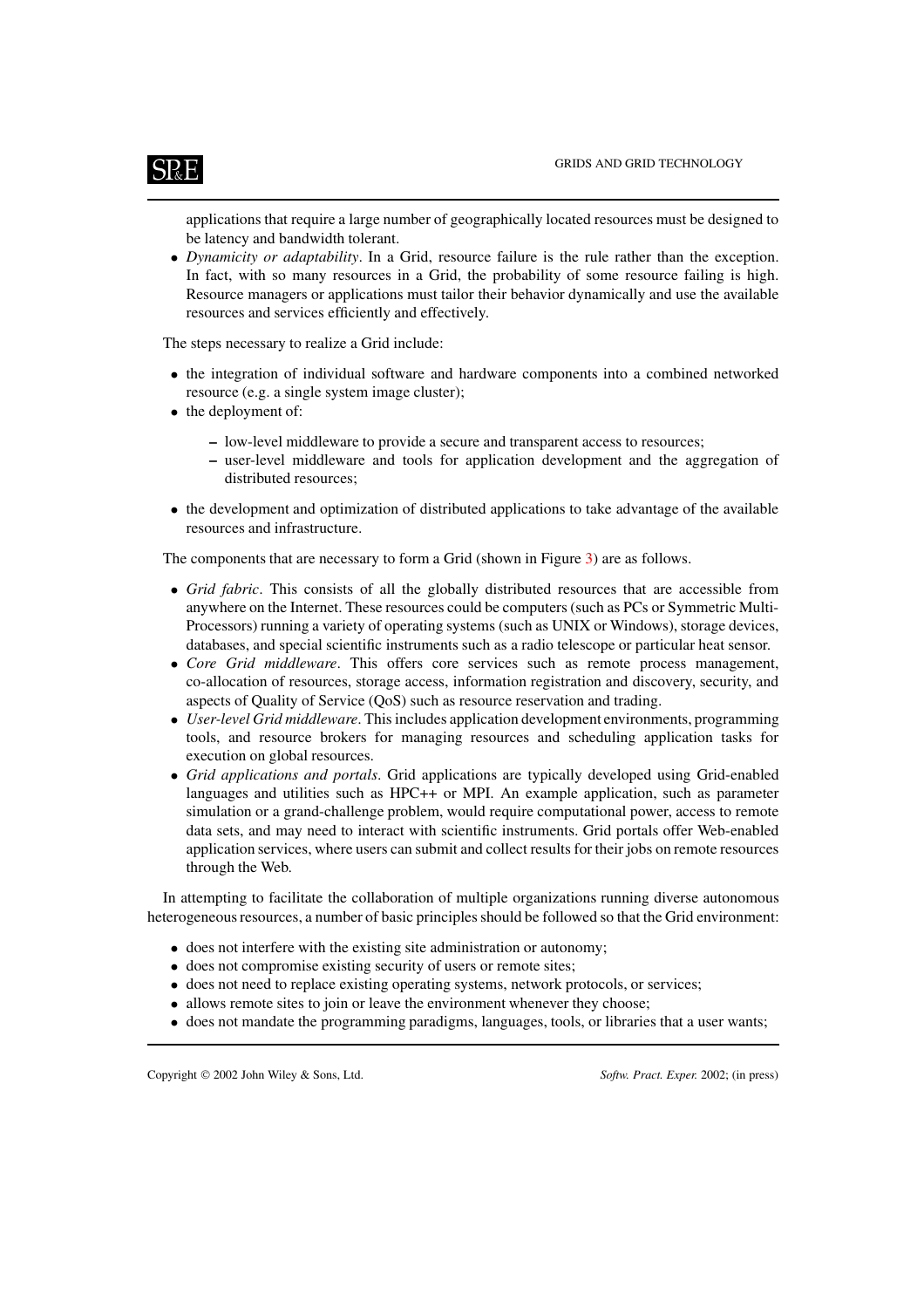

applications that require a large number of geographically located resources must be designed to be latency and bandwidth tolerant.

• *Dynamicity or adaptability*. In a Grid, resource failure is the rule rather than the exception. In fact, with so many resources in a Grid, the probability of some resource failing is high. Resource managers or applications must tailor their behavior dynamically and use the available resources and services efficiently and effectively.

The steps necessary to realize a Grid include:

- the integration of individual software and hardware components into a combined networked resource (e.g. a single system image cluster);
- the deployment of:
	- **–** low-level middleware to provide a secure and transparent access to resources;
	- **–** user-level middleware and tools for application development and the aggregation of distributed resources;
- the development and optimization of distributed applications to take advantage of the available resources and infrastructure.

The components that are necessary to form a Grid (shown in Figure [3\)](#page-5-0) are as follows.

- *Grid fabric*. This consists of all the globally distributed resources that are accessible from anywhere on the Internet. These resources could be computers (such as PCs or Symmetric Multi-Processors) running a variety of operating systems (such as UNIX or Windows), storage devices, databases, and special scientific instruments such as a radio telescope or particular heat sensor.
- *Core Grid middleware*. This offers core services such as remote process management, co-allocation of resources, storage access, information registration and discovery, security, and aspects of Quality of Service (QoS) such as resource reservation and trading.
- *User-level Grid middleware*. This includes application development environments, programming tools, and resource brokers for managing resources and scheduling application tasks for execution on global resources.
- *Grid applications and portals*. Grid applications are typically developed using Grid-enabled languages and utilities such as HPC++ or MPI. An example application, such as parameter simulation or a grand-challenge problem, would require computational power, access to remote data sets, and may need to interact with scientific instruments. Grid portals offer Web-enabled application services, where users can submit and collect results for their jobs on remote resources through the Web.

In attempting to facilitate the collaboration of multiple organizations running diverse autonomous heterogeneous resources, a number of basic principles should be followed so that the Grid environment:

- does not interfere with the existing site administration or autonomy;
- does not compromise existing security of users or remote sites;
- does not need to replace existing operating systems, network protocols, or services;
- allows remote sites to join or leave the environment whenever they choose:
- does not mandate the programming paradigms, languages, tools, or libraries that a user wants;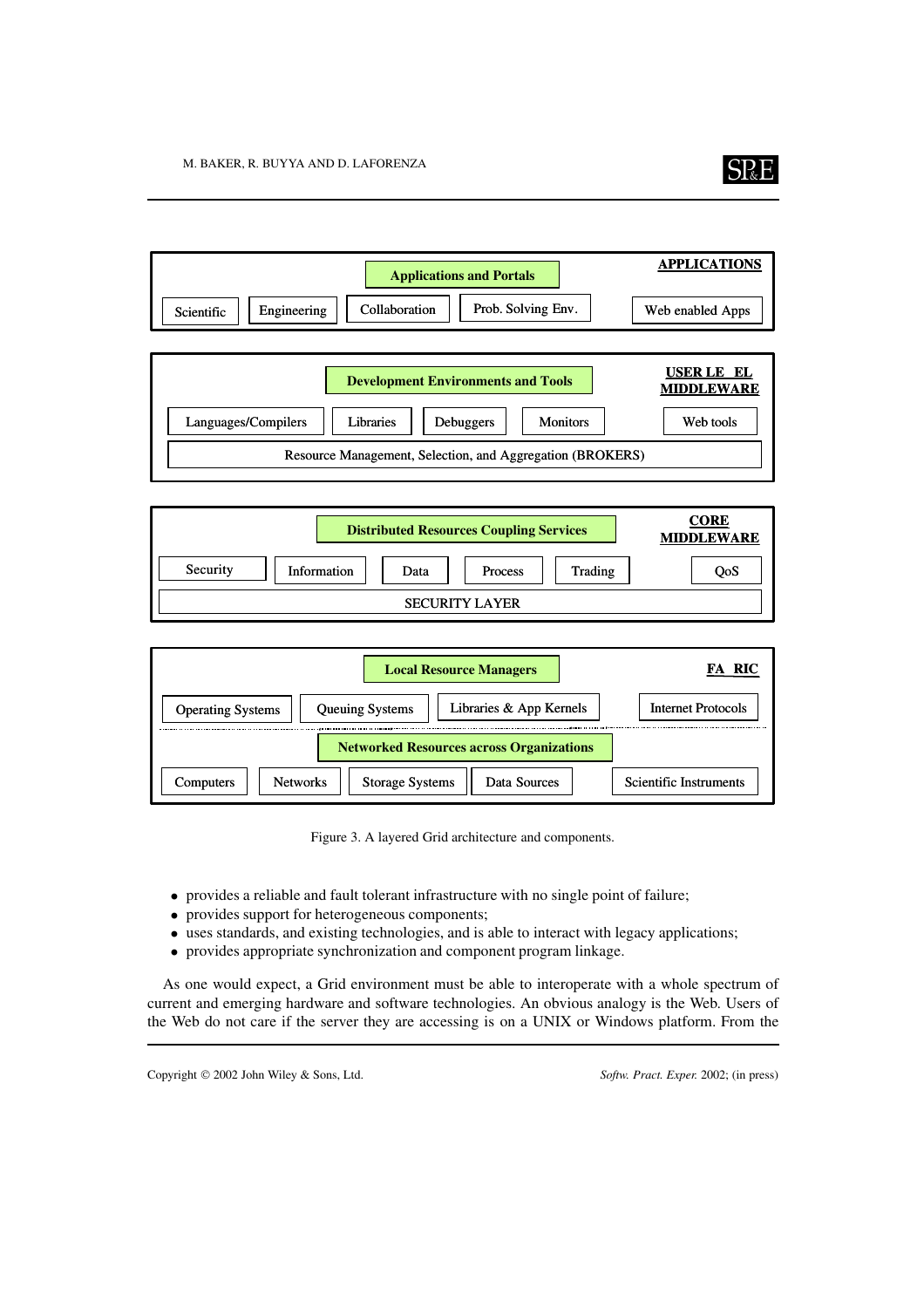<span id="page-5-0"></span>

| <b>Distributed Resources Coupling Services</b> |             |      | <b>CORE</b><br><b>MIDDLEWARE</b> |         |     |
|------------------------------------------------|-------------|------|----------------------------------|---------|-----|
| Security                                       | Information | Data | Process                          | Trading | OoS |
| <b>SECURITY LAYER</b>                          |             |      |                                  |         |     |

| <b>Local Resource Managers</b>                                                | FA RIC             |                               |  |  |
|-------------------------------------------------------------------------------|--------------------|-------------------------------|--|--|
| Libraries & App Kernels<br><b>Queuing Systems</b><br><b>Operating Systems</b> | Internet Protocols |                               |  |  |
| <b>Networked Resources across Organizations</b>                               |                    |                               |  |  |
| <b>Storage Systems</b><br><b>Networks</b><br>Computers                        | Data Sources       | <b>Scientific Instruments</b> |  |  |

Figure 3. A layered Grid architecture and components.

- provides a reliable and fault tolerant infrastructure with no single point of failure;
- provides support for heterogeneous components;
- uses standards, and existing technologies, and is able to interact with legacy applications;
- provides appropriate synchronization and component program linkage.

As one would expect, a Grid environment must be able to interoperate with a whole spectrum of current and emerging hardware and software technologies. An obvious analogy is the Web. Users of the Web do not care if the server they are accessing is on a UNIX or Windows platform. From the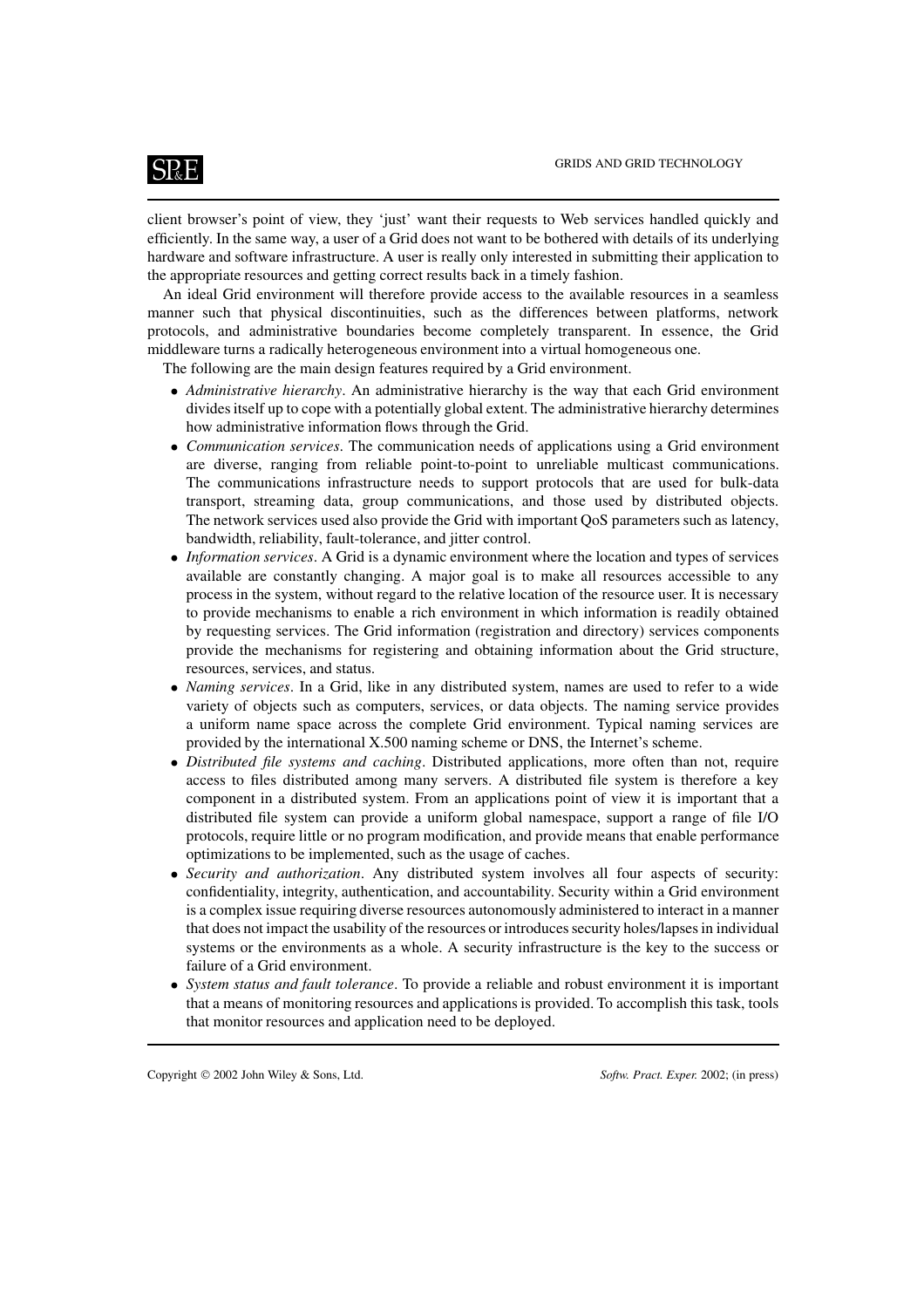# $SRE$

client browser's point of view, they 'just' want their requests to Web services handled quickly and efficiently. In the same way, a user of a Grid does not want to be bothered with details of its underlying hardware and software infrastructure. A user is really only interested in submitting their application to the appropriate resources and getting correct results back in a timely fashion.

An ideal Grid environment will therefore provide access to the available resources in a seamless manner such that physical discontinuities, such as the differences between platforms, network protocols, and administrative boundaries become completely transparent. In essence, the Grid middleware turns a radically heterogeneous environment into a virtual homogeneous one.

The following are the main design features required by a Grid environment.

- *Administrative hierarchy*. An administrative hierarchy is the way that each Grid environment divides itself up to cope with a potentially global extent. The administrative hierarchy determines how administrative information flows through the Grid.
- *Communication services*. The communication needs of applications using a Grid environment are diverse, ranging from reliable point-to-point to unreliable multicast communications. The communications infrastructure needs to support protocols that are used for bulk-data transport, streaming data, group communications, and those used by distributed objects. The network services used also provide the Grid with important QoS parameters such as latency, bandwidth, reliability, fault-tolerance, and jitter control.
- *Information services*. A Grid is a dynamic environment where the location and types of services available are constantly changing. A major goal is to make all resources accessible to any process in the system, without regard to the relative location of the resource user. It is necessary to provide mechanisms to enable a rich environment in which information is readily obtained by requesting services. The Grid information (registration and directory) services components provide the mechanisms for registering and obtaining information about the Grid structure, resources, services, and status.
- *Naming services*. In a Grid, like in any distributed system, names are used to refer to a wide variety of objects such as computers, services, or data objects. The naming service provides a uniform name space across the complete Grid environment. Typical naming services are provided by the international X.500 naming scheme or DNS, the Internet's scheme.
- *Distributed file systems and caching*. Distributed applications, more often than not, require access to files distributed among many servers. A distributed file system is therefore a key component in a distributed system. From an applications point of view it is important that a distributed file system can provide a uniform global namespace, support a range of file I/O protocols, require little or no program modification, and provide means that enable performance optimizations to be implemented, such as the usage of caches.
- *Security and authorization*. Any distributed system involves all four aspects of security: confidentiality, integrity, authentication, and accountability. Security within a Grid environment is a complex issue requiring diverse resources autonomously administered to interact in a manner that does not impact the usability of the resources or introduces security holes/lapses in individual systems or the environments as a whole. A security infrastructure is the key to the success or failure of a Grid environment.
- *System status and fault tolerance*. To provide a reliable and robust environment it is important that a means of monitoring resources and applications is provided. To accomplish this task, tools that monitor resources and application need to be deployed.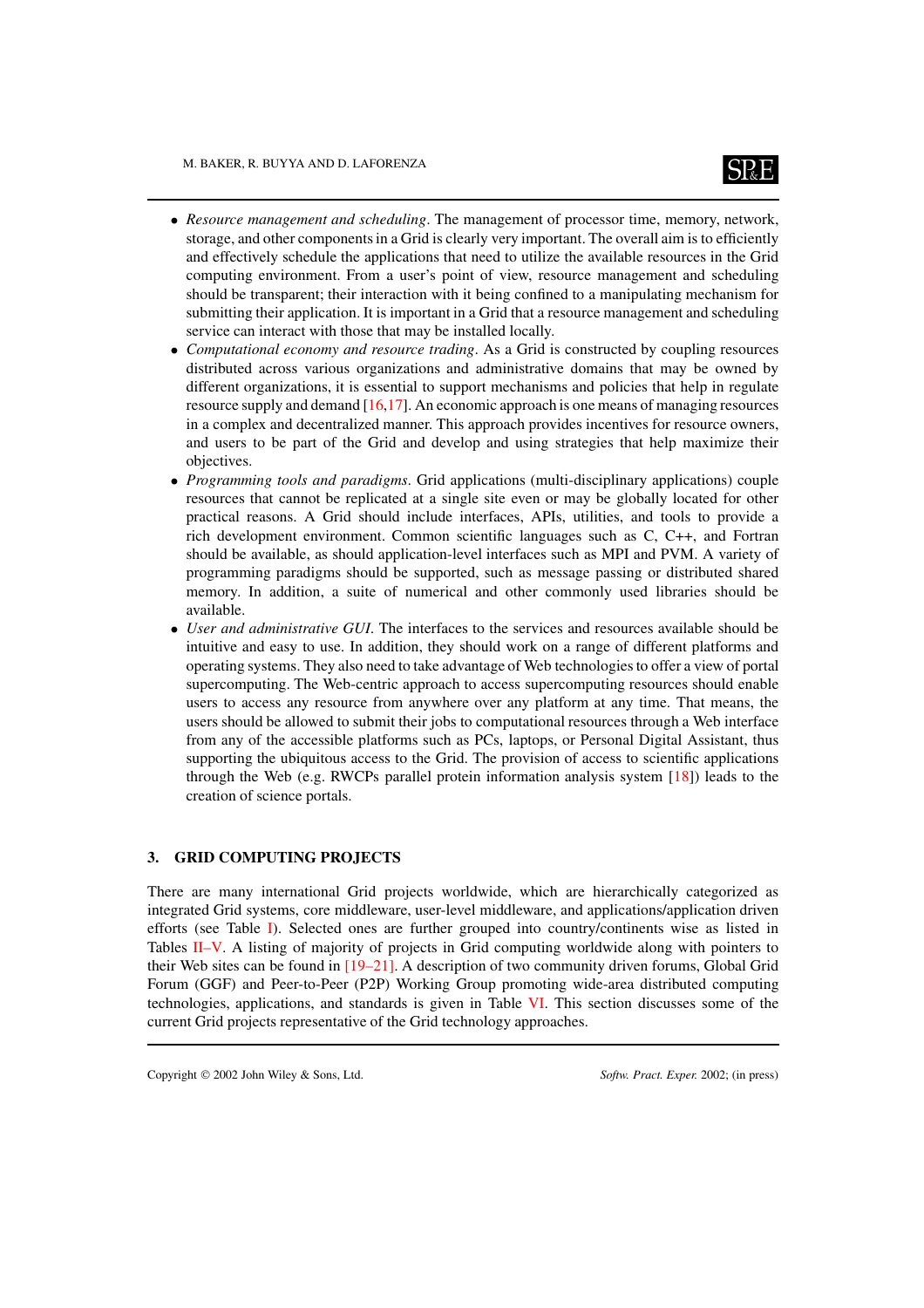

- *Resource management and scheduling*. The management of processor time, memory, network, storage, and other components in a Grid is clearly very important. The overall aim is to efficiently and effectively schedule the applications that need to utilize the available resources in the Grid computing environment. From a user's point of view, resource management and scheduling should be transparent; their interaction with it being confined to a manipulating mechanism for submitting their application. It is important in a Grid that a resource management and scheduling service can interact with those that may be installed locally.
- *Computational economy and resource trading*. As a Grid is constructed by coupling resources distributed across various organizations and administrative domains that may be owned by different organizations, it is essential to support mechanisms and policies that help in regulate resource supply and demand [[16](#page-28-14)[,17\]](#page-28-12). An economic approach is one means of managing resources in a complex and decentralized manner. This approach provides incentives for resource owners, and users to be part of the Grid and develop and using strategies that help maximize their objectives.
- *Programming tools and paradigms*. Grid applications (multi-disciplinary applications) couple resources that cannot be replicated at a single site even or may be globally located for other practical reasons. A Grid should include interfaces, APIs, utilities, and tools to provide a rich development environment. Common scientific languages such as C, C++, and Fortran should be available, as should application-level interfaces such as MPI and PVM. A variety of programming paradigms should be supported, such as message passing or distributed shared memory. In addition, a suite of numerical and other commonly used libraries should be available.
- *User and administrative GUI*. The interfaces to the services and resources available should be intuitive and easy to use. In addition, they should work on a range of different platforms and operating systems. They also need to take advantage of Web technologies to offer a view of portal supercomputing. The Web-centric approach to access supercomputing resources should enable users to access any resource from anywhere over any platform at any time. That means, the users should be allowed to submit their jobs to computational resources through a Web interface from any of the accessible platforms such as PCs, laptops, or Personal Digital Assistant, thus supporting the ubiquitous access to the Grid. The provision of access to scientific applications through the Web (e.g. RWCPs parallel protein information analysis system [[18\]](#page-28-11)) leads to the creation of science portals.

## <span id="page-7-0"></span>**3. GRID COMPUTING PROJECTS**

There are many international Grid projects worldwide, which are hierarchically categorized as integrated Grid systems, core middleware, user-level middleware, and applications/application driven efforts (see Table [I\)](#page-8-0). Selected ones are further grouped into country/continents wise as listed in Tables [II–V](#page-10-0). A listing of majority of projects in Grid computing worldwide along with pointers to their Web sites can be found in [\[19–21\].](#page-28-13) A description of two community driven forums, Global Grid Forum (GGF) and Peer-to-Peer (P2P) Working Group promoting wide-area distributed computing technologies, applications, and standards is given in Table [VI.](#page-14-0) This section discusses some of the current Grid projects representative of the Grid technology approaches.

Copyright 2002 John Wiley & Sons, Ltd. *Softw. Pract. Exper.* 2002; (in press)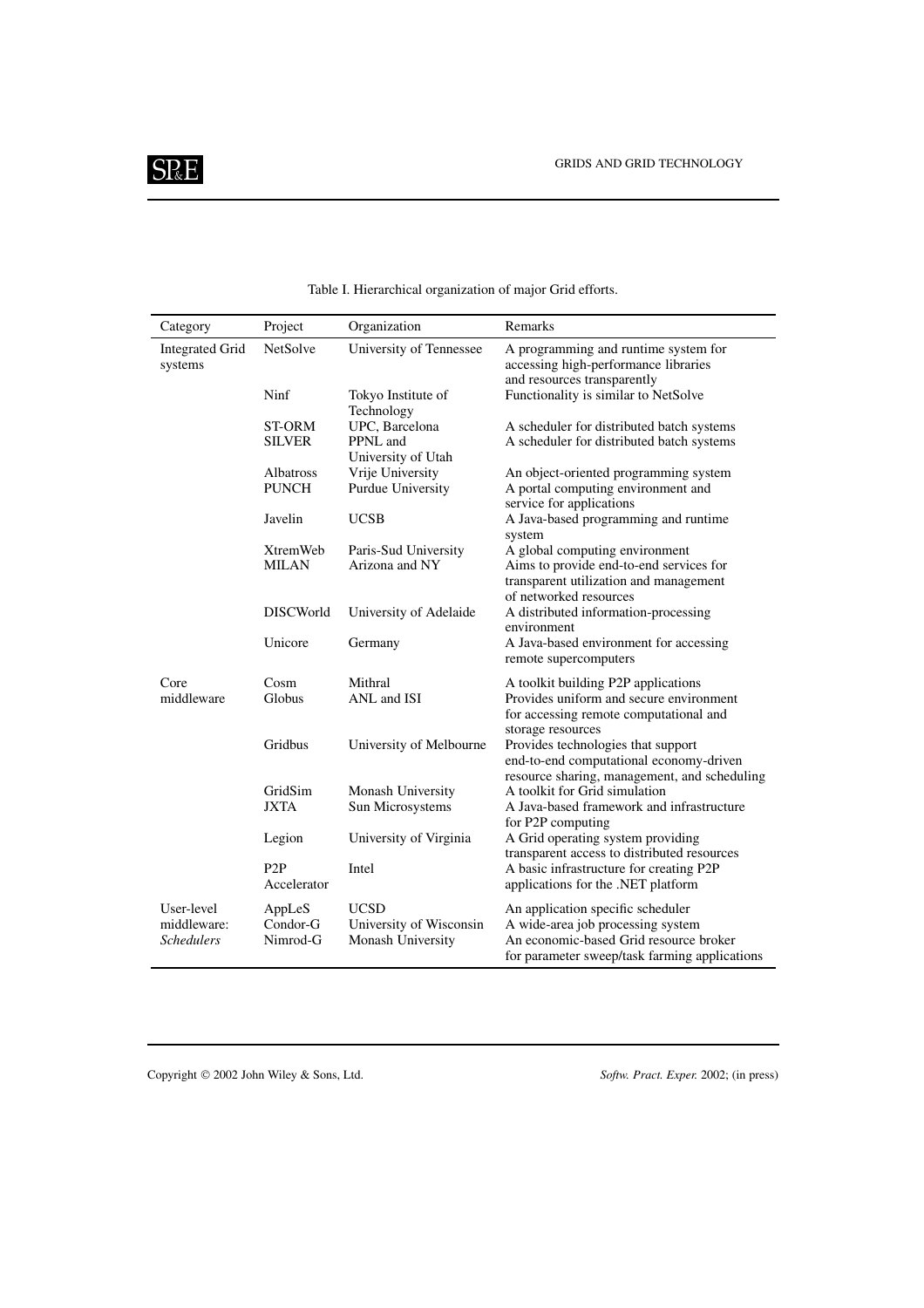<span id="page-8-0"></span>

| Category                                       | Project                         | Organization                                         | Remarks                                                                                                                                                           |
|------------------------------------------------|---------------------------------|------------------------------------------------------|-------------------------------------------------------------------------------------------------------------------------------------------------------------------|
| <b>Integrated Grid</b><br>systems              | NetSolve                        | University of Tennessee                              | A programming and runtime system for<br>accessing high-performance libraries<br>and resources transparently                                                       |
|                                                | Ninf                            | Tokyo Institute of<br>Technology                     | Functionality is similar to NetSolve                                                                                                                              |
|                                                | <b>ST-ORM</b><br><b>SILVER</b>  | UPC, Barcelona<br>PPNL and<br>University of Utah     | A scheduler for distributed batch systems<br>A scheduler for distributed batch systems                                                                            |
|                                                | Albatross                       | Vrije University                                     | An object-oriented programming system                                                                                                                             |
|                                                | <b>PUNCH</b>                    | <b>Purdue University</b>                             | A portal computing environment and<br>service for applications                                                                                                    |
|                                                | Javelin                         | <b>UCSB</b>                                          | A Java-based programming and runtime<br>system                                                                                                                    |
|                                                | <b>XtremWeb</b>                 | Paris-Sud University                                 | A global computing environment                                                                                                                                    |
|                                                | <b>MILAN</b>                    | Arizona and NY                                       | Aims to provide end-to-end services for<br>transparent utilization and management<br>of networked resources                                                       |
|                                                | <b>DISCWorld</b>                | University of Adelaide                               | A distributed information-processing<br>environment                                                                                                               |
|                                                | Unicore                         | Germany                                              | A Java-based environment for accessing<br>remote supercomputers                                                                                                   |
| Core                                           | Cosm                            | Mithral                                              | A toolkit building P2P applications                                                                                                                               |
| middleware                                     | Globus                          | ANL and ISI                                          | Provides uniform and secure environment<br>for accessing remote computational and<br>storage resources                                                            |
|                                                | Gridbus                         | University of Melbourne                              | Provides technologies that support<br>end-to-end computational economy-driven<br>resource sharing, management, and scheduling                                     |
|                                                | GridSim                         | <b>Monash University</b>                             | A toolkit for Grid simulation                                                                                                                                     |
|                                                | <b>JXTA</b>                     | Sun Microsystems                                     | A Java-based framework and infrastructure<br>for P2P computing                                                                                                    |
|                                                | Legion                          | University of Virginia                               | A Grid operating system providing<br>transparent access to distributed resources                                                                                  |
|                                                | P <sub>2</sub> P<br>Accelerator | Intel                                                | A basic infrastructure for creating P2P<br>applications for the .NET platform                                                                                     |
| User-level<br>middleware:<br><b>Schedulers</b> | AppLeS<br>Condor-G<br>Nimrod-G  | UCSD<br>University of Wisconsin<br>Monash University | An application specific scheduler<br>A wide-area job processing system<br>An economic-based Grid resource broker<br>for parameter sweep/task farming applications |

# Table I. Hierarchical organization of major Grid efforts.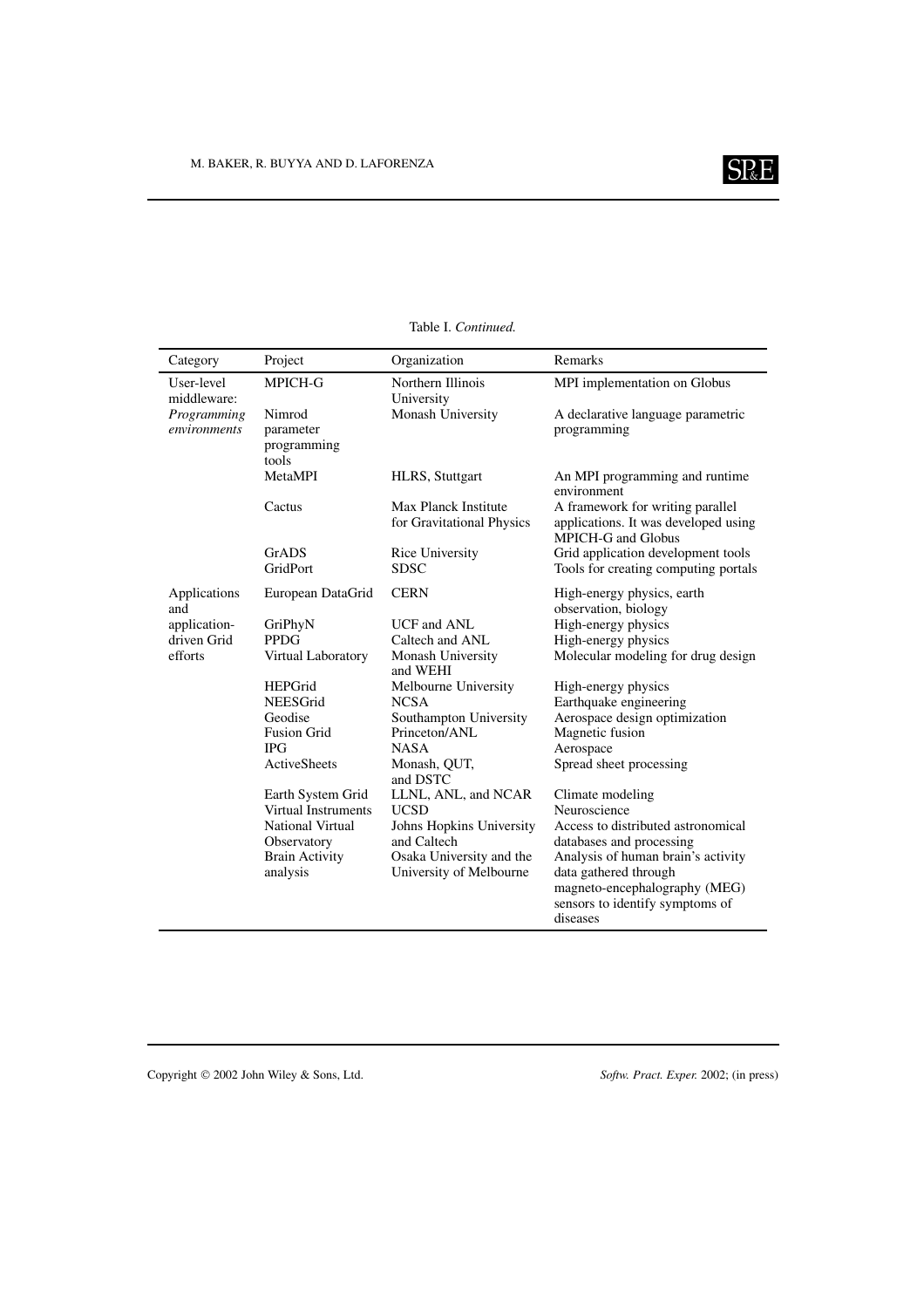

| Category                    | Project                                     | Organization                                      | Remarks                                                                                               |
|-----------------------------|---------------------------------------------|---------------------------------------------------|-------------------------------------------------------------------------------------------------------|
| User-level<br>middleware:   | <b>MPICH-G</b>                              | Northern Illinois<br>University                   | MPI implementation on Globus                                                                          |
| Programming<br>environments | Nimrod<br>parameter<br>programming<br>tools | Monash University                                 | A declarative language parametric<br>programming                                                      |
|                             | <b>MetaMPI</b>                              | HLRS, Stuttgart                                   | An MPI programming and runtime<br>environment                                                         |
|                             | Cactus                                      | Max Planck Institute<br>for Gravitational Physics | A framework for writing parallel<br>applications. It was developed using<br><b>MPICH-G and Globus</b> |
|                             | <b>GrADS</b><br>GridPort                    | Rice University<br><b>SDSC</b>                    | Grid application development tools<br>Tools for creating computing portals                            |
|                             |                                             |                                                   |                                                                                                       |
| Applications<br>and         | European DataGrid                           | <b>CERN</b>                                       | High-energy physics, earth<br>observation, biology                                                    |
| application-                | GriPhyN                                     | UCF and ANL                                       | High-energy physics                                                                                   |
| driven Grid                 | <b>PPDG</b>                                 | Caltech and ANL                                   | High-energy physics                                                                                   |
| efforts                     | Virtual Laboratory                          | Monash University<br>and WEHI                     | Molecular modeling for drug design                                                                    |
|                             | <b>HEPGrid</b>                              | Melbourne University                              | High-energy physics                                                                                   |
|                             | <b>NEESGrid</b>                             | <b>NCSA</b>                                       | Earthquake engineering                                                                                |
|                             | Geodise                                     | Southampton University                            | Aerospace design optimization                                                                         |
|                             | <b>Fusion Grid</b>                          | Princeton/ANL                                     | Magnetic fusion                                                                                       |
|                             | <b>IPG</b>                                  | <b>NASA</b>                                       | Aerospace                                                                                             |
|                             | <b>ActiveSheets</b>                         | Monash, QUT,<br>and DSTC                          | Spread sheet processing                                                                               |
|                             | Earth System Grid                           | LLNL, ANL, and NCAR                               | Climate modeling                                                                                      |
|                             | Virtual Instruments                         | <b>UCSD</b>                                       | Neuroscience                                                                                          |
|                             | <b>National Virtual</b>                     | Johns Hopkins University                          | Access to distributed astronomical                                                                    |
|                             | Observatory                                 | and Caltech                                       | databases and processing                                                                              |
|                             | <b>Brain Activity</b>                       | Osaka University and the                          | Analysis of human brain's activity                                                                    |
|                             | analysis                                    | University of Melbourne                           | data gathered through<br>magneto-encephalography (MEG)<br>sensors to identify symptoms of             |
|                             |                                             |                                                   | diseases                                                                                              |

Table I. *Continued.*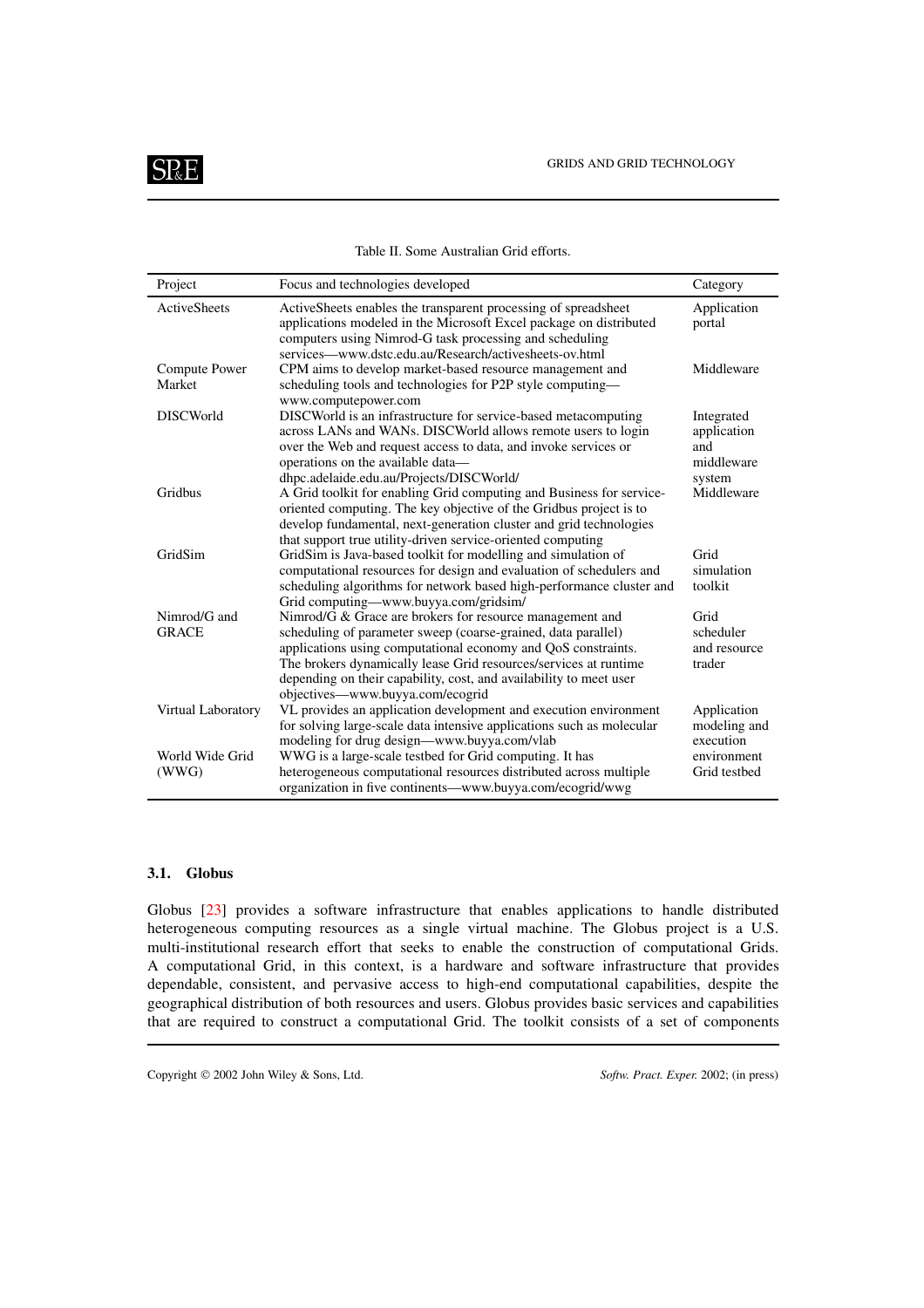<span id="page-10-0"></span>

| Project                      | Focus and technologies developed                                                                                                                                                                                                                                                                                                                                         | Category                                                 |
|------------------------------|--------------------------------------------------------------------------------------------------------------------------------------------------------------------------------------------------------------------------------------------------------------------------------------------------------------------------------------------------------------------------|----------------------------------------------------------|
| <b>ActiveSheets</b>          | ActiveSheets enables the transparent processing of spreadsheet<br>applications modeled in the Microsoft Excel package on distributed<br>computers using Nimrod-G task processing and scheduling<br>services—www.dstc.edu.au/Research/activesheets-ov.html                                                                                                                | Application<br>portal                                    |
| Compute Power<br>Market      | CPM aims to develop market-based resource management and<br>scheduling tools and technologies for P2P style computing-<br>www.computepower.com                                                                                                                                                                                                                           | Middleware                                               |
| <b>DISCWorld</b>             | DISCWorld is an infrastructure for service-based metacomputing<br>across LANs and WANs. DISCWorld allows remote users to login<br>over the Web and request access to data, and invoke services or<br>operations on the available data—<br>dhpc.adelaide.edu.au/Projects/DISCWorld/                                                                                       | Integrated<br>application<br>and<br>middleware<br>system |
| Gridbus                      | A Grid toolkit for enabling Grid computing and Business for service-<br>oriented computing. The key objective of the Gridbus project is to<br>develop fundamental, next-generation cluster and grid technologies<br>that support true utility-driven service-oriented computing                                                                                          | Middleware                                               |
| GridSim                      | GridSim is Java-based toolkit for modelling and simulation of<br>computational resources for design and evaluation of schedulers and<br>scheduling algorithms for network based high-performance cluster and<br>Grid computing—www.buyya.com/gridsim/                                                                                                                    | Grid<br>simulation<br>toolkit                            |
| Nimrod/G and<br><b>GRACE</b> | Nimrod/G & Grace are brokers for resource management and<br>scheduling of parameter sweep (coarse-grained, data parallel)<br>applications using computational economy and QoS constraints.<br>The brokers dynamically lease Grid resources/services at runtime<br>depending on their capability, cost, and availability to meet user<br>objectives—www.buyya.com/ecogrid | Grid<br>scheduler<br>and resource<br>trader              |
| Virtual Laboratory           | VL provides an application development and execution environment<br>for solving large-scale data intensive applications such as molecular<br>modeling for drug design—www.buyya.com/vlab                                                                                                                                                                                 | Application<br>modeling and<br>execution                 |
| World Wide Grid<br>(WWG)     | WWG is a large-scale testbed for Grid computing. It has<br>heterogeneous computational resources distributed across multiple<br>organization in five continents—www.buyya.com/ecogrid/wwg                                                                                                                                                                                | environment<br>Grid testbed                              |

## Table II. Some Australian Grid efforts.

# **3.1. Globus**

Globus [[23\]](#page-28-15) provides a software infrastructure that enables applications to handle distributed heterogeneous computing resources as a single virtual machine. The Globus project is a U.S. multi-institutional research effort that seeks to enable the construction of computational Grids. A computational Grid, in this context, is a hardware and software infrastructure that provides dependable, consistent, and pervasive access to high-end computational capabilities, despite the geographical distribution of both resources and users. Globus provides basic services and capabilities that are required to construct a computational Grid. The toolkit consists of a set of components

Copyright 2002 John Wiley & Sons, Ltd. *Softw. Pract. Exper.* 2002; (in press)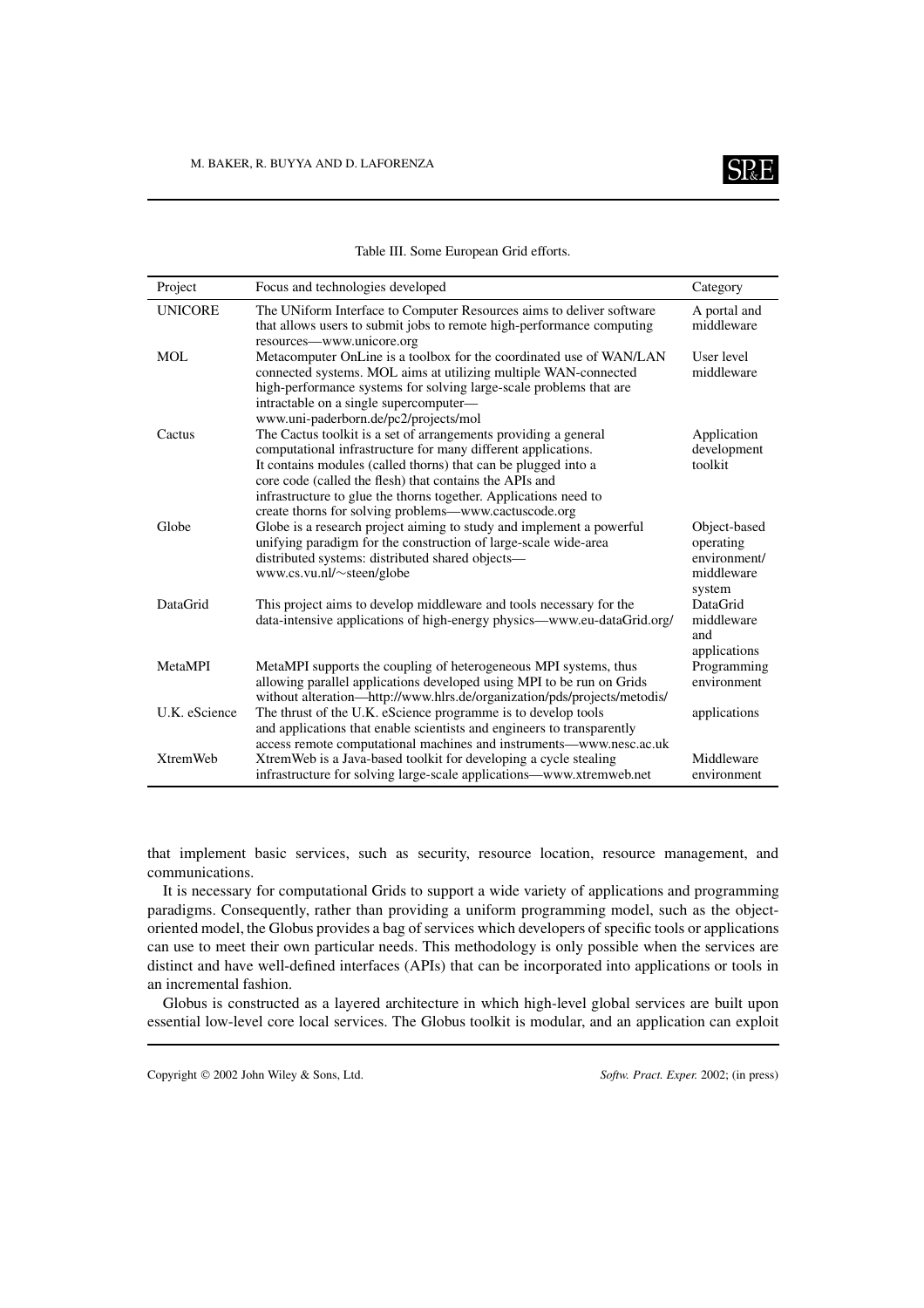

| Project         | Focus and technologies developed                                                                                                                                                                                                                                                                                                                                                           | Category                                                          |
|-----------------|--------------------------------------------------------------------------------------------------------------------------------------------------------------------------------------------------------------------------------------------------------------------------------------------------------------------------------------------------------------------------------------------|-------------------------------------------------------------------|
| <b>UNICORE</b>  | The UNiform Interface to Computer Resources aims to deliver software<br>that allows users to submit jobs to remote high-performance computing<br>resources-www.unicore.org                                                                                                                                                                                                                 | A portal and<br>middleware                                        |
| <b>MOL</b>      | Metacomputer OnLine is a toolbox for the coordinated use of WAN/LAN<br>connected systems. MOL aims at utilizing multiple WAN-connected<br>high-performance systems for solving large-scale problems that are<br>intractable on a single supercomputer-<br>www.uni-paderborn.de/pc2/projects/mol                                                                                            | User level<br>middleware                                          |
| Cactus          | The Cactus toolkit is a set of arrangements providing a general<br>computational infrastructure for many different applications.<br>It contains modules (called thorns) that can be plugged into a<br>core code (called the flesh) that contains the APIs and<br>infrastructure to glue the thorns together. Applications need to<br>create thorns for solving problems—www.cactuscode.org | Application<br>development<br>toolkit                             |
| Globe           | Globe is a research project aiming to study and implement a powerful<br>unifying paradigm for the construction of large-scale wide-area<br>distributed systems: distributed shared objects-<br>www.cs.vu.nl/~steen/globe                                                                                                                                                                   | Object-based<br>operating<br>environment/<br>middleware<br>system |
| DataGrid        | This project aims to develop middleware and tools necessary for the<br>data-intensive applications of high-energy physics---www.eu-dataGrid.org/                                                                                                                                                                                                                                           | DataGrid<br>middleware<br>and<br>applications                     |
| MetaMPI         | MetaMPI supports the coupling of heterogeneous MPI systems, thus<br>allowing parallel applications developed using MPI to be run on Grids<br>without alteration—http://www.hlrs.de/organization/pds/projects/metodis/                                                                                                                                                                      | Programming<br>environment                                        |
| U.K. eScience   | The thrust of the U.K. eScience programme is to develop tools<br>and applications that enable scientists and engineers to transparently<br>access remote computational machines and instruments—www.nesc.ac.uk                                                                                                                                                                             | applications                                                      |
| <b>XtremWeb</b> | XtremWeb is a Java-based toolkit for developing a cycle stealing<br>infrastructure for solving large-scale applications-www.xtremweb.net                                                                                                                                                                                                                                                   | Middleware<br>environment                                         |

Table III. Some European Grid efforts.

that implement basic services, such as security, resource location, resource management, and communications.

It is necessary for computational Grids to support a wide variety of applications and programming paradigms. Consequently, rather than providing a uniform programming model, such as the objectoriented model, the Globus provides a bag of services which developers of specific tools or applications can use to meet their own particular needs. This methodology is only possible when the services are distinct and have well-defined interfaces (APIs) that can be incorporated into applications or tools in an incremental fashion.

Globus is constructed as a layered architecture in which high-level global services are built upon essential low-level core local services. The Globus toolkit is modular, and an application can exploit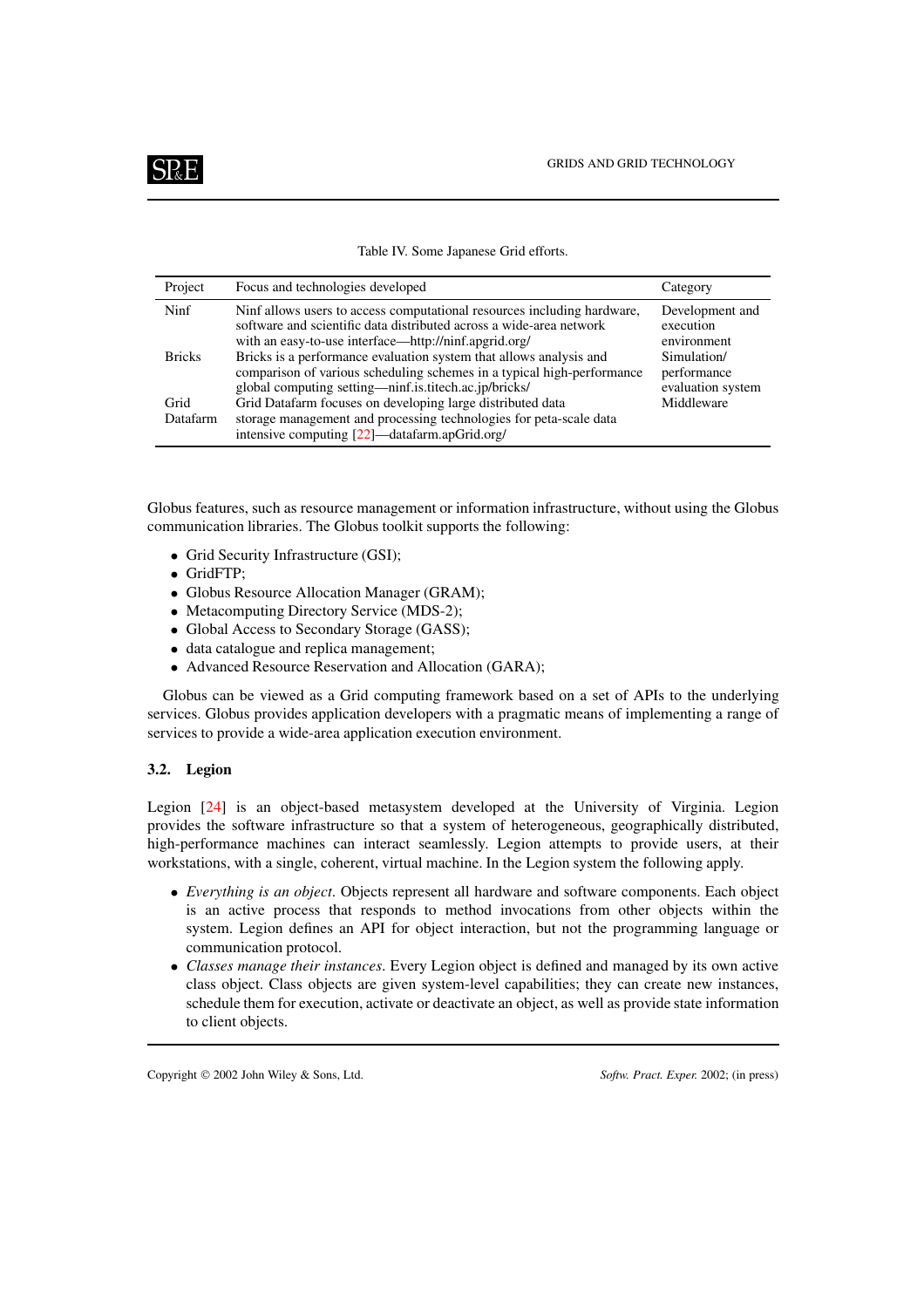| Project          | Focus and technologies developed                                                                                                                                                                        | Category                                        |
|------------------|---------------------------------------------------------------------------------------------------------------------------------------------------------------------------------------------------------|-------------------------------------------------|
| Ninf             | Ninf allows users to access computational resources including hardware.<br>software and scientific data distributed across a wide-area network<br>with an easy-to-use interface—http://ninf.apgrid.org/ | Development and<br>execution<br>environment     |
| <b>Bricks</b>    | Bricks is a performance evaluation system that allows analysis and<br>comparison of various scheduling schemes in a typical high-performance<br>global computing setting-ninf.is.titech.ac.jp/bricks/   | Simulation/<br>performance<br>evaluation system |
| Grid<br>Datafarm | Grid Datafarm focuses on developing large distributed data<br>storage management and processing technologies for peta-scale data<br>intensive computing [22]—datafarm.apGrid.org/                       | Middleware                                      |

## Table IV. Some Japanese Grid efforts.

Globus features, such as resource management or information infrastructure, without using the Globus communication libraries. The Globus toolkit supports the following:

- Grid Security Infrastructure (GSI);
- GridFTP;
- Globus Resource Allocation Manager (GRAM);
- Metacomputing Directory Service (MDS-2);
- Global Access to Secondary Storage (GASS);
- data catalogue and replica management;
- Advanced Resource Reservation and Allocation (GARA);

Globus can be viewed as a Grid computing framework based on a set of APIs to the underlying services. Globus provides application developers with a pragmatic means of implementing a range of services to provide a wide-area application execution environment.

# **3.2. Legion**

Legion [\[24\]](#page-28-17) is an object-based metasystem developed at the University of Virginia. Legion provides the software infrastructure so that a system of heterogeneous, geographically distributed, high-performance machines can interact seamlessly. Legion attempts to provide users, at their workstations, with a single, coherent, virtual machine. In the Legion system the following apply.

- *Everything is an object*. Objects represent all hardware and software components. Each object is an active process that responds to method invocations from other objects within the system. Legion defines an API for object interaction, but not the programming language or communication protocol.
- *Classes manage their instances*. Every Legion object is defined and managed by its own active class object. Class objects are given system-level capabilities; they can create new instances, schedule them for execution, activate or deactivate an object, as well as provide state information to client objects.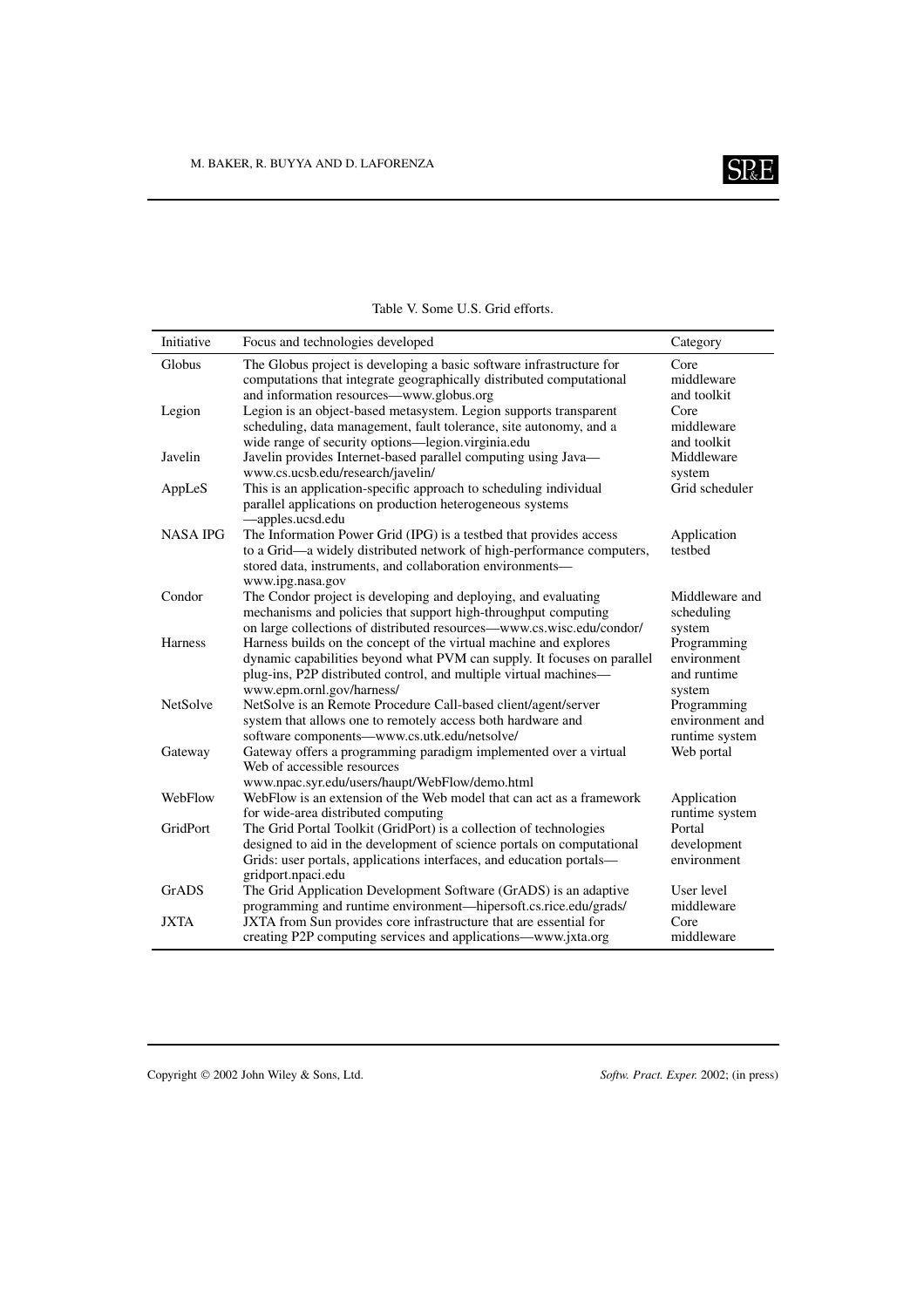

| Initiative      | Focus and technologies developed                                                                                                                                                                                                               | Category                                            |
|-----------------|------------------------------------------------------------------------------------------------------------------------------------------------------------------------------------------------------------------------------------------------|-----------------------------------------------------|
| Globus          | The Globus project is developing a basic software infrastructure for<br>computations that integrate geographically distributed computational<br>and information resources—www.globus.org                                                       | Core<br>middleware<br>and toolkit                   |
| Legion          | Legion is an object-based metasystem. Legion supports transparent<br>scheduling, data management, fault tolerance, site autonomy, and a<br>wide range of security options—legion.virginia.edu                                                  | Core<br>middleware<br>and toolkit                   |
| Javelin         | Javelin provides Internet-based parallel computing using Java—<br>www.cs.ucsb.edu/research/javelin/                                                                                                                                            | Middleware<br>system                                |
| AppLeS          | This is an application-specific approach to scheduling individual<br>parallel applications on production heterogeneous systems<br>-apples.ucsd.edu                                                                                             | Grid scheduler                                      |
| <b>NASA IPG</b> | The Information Power Grid (IPG) is a testbed that provides access<br>to a Grid—a widely distributed network of high-performance computers,<br>stored data, instruments, and collaboration environments-<br>www.ipg.nasa.gov                   | Application<br>testbed                              |
| Condor          | The Condor project is developing and deploying, and evaluating<br>mechanisms and policies that support high-throughput computing<br>on large collections of distributed resources—www.cs.wisc.edu/condor/                                      | Middleware and<br>scheduling<br>system              |
| <b>Harness</b>  | Harness builds on the concept of the virtual machine and explores<br>dynamic capabilities beyond what PVM can supply. It focuses on parallel<br>plug-ins, P2P distributed control, and multiple virtual machines-<br>www.epm.ornl.gov/harness/ | Programming<br>environment<br>and runtime<br>system |
| <b>NetSolve</b> | NetSolve is an Remote Procedure Call-based client/agent/server<br>system that allows one to remotely access both hardware and<br>software components-www.cs.utk.edu/netsolve/                                                                  | Programming<br>environment and<br>runtime system    |
| Gateway         | Gateway offers a programming paradigm implemented over a virtual<br>Web of accessible resources<br>www.npac.syr.edu/users/haupt/WebFlow/demo.html                                                                                              | Web portal                                          |
| WebFlow         | WebFlow is an extension of the Web model that can act as a framework<br>for wide-area distributed computing                                                                                                                                    | Application<br>runtime system                       |
| GridPort        | The Grid Portal Toolkit (GridPort) is a collection of technologies<br>designed to aid in the development of science portals on computational<br>Grids: user portals, applications interfaces, and education portals-<br>gridport.npaci.edu     | Portal<br>development<br>environment                |
| <b>GrADS</b>    | The Grid Application Development Software (GrADS) is an adaptive                                                                                                                                                                               | User level                                          |
| <b>JXTA</b>     | programming and runtime environment-hipersoft.cs.rice.edu/grads/<br>JXTA from Sun provides core infrastructure that are essential for<br>creating P2P computing services and applications—www.jxta.org                                         | middleware<br>Core<br>middleware                    |

Table V. Some U.S. Grid efforts.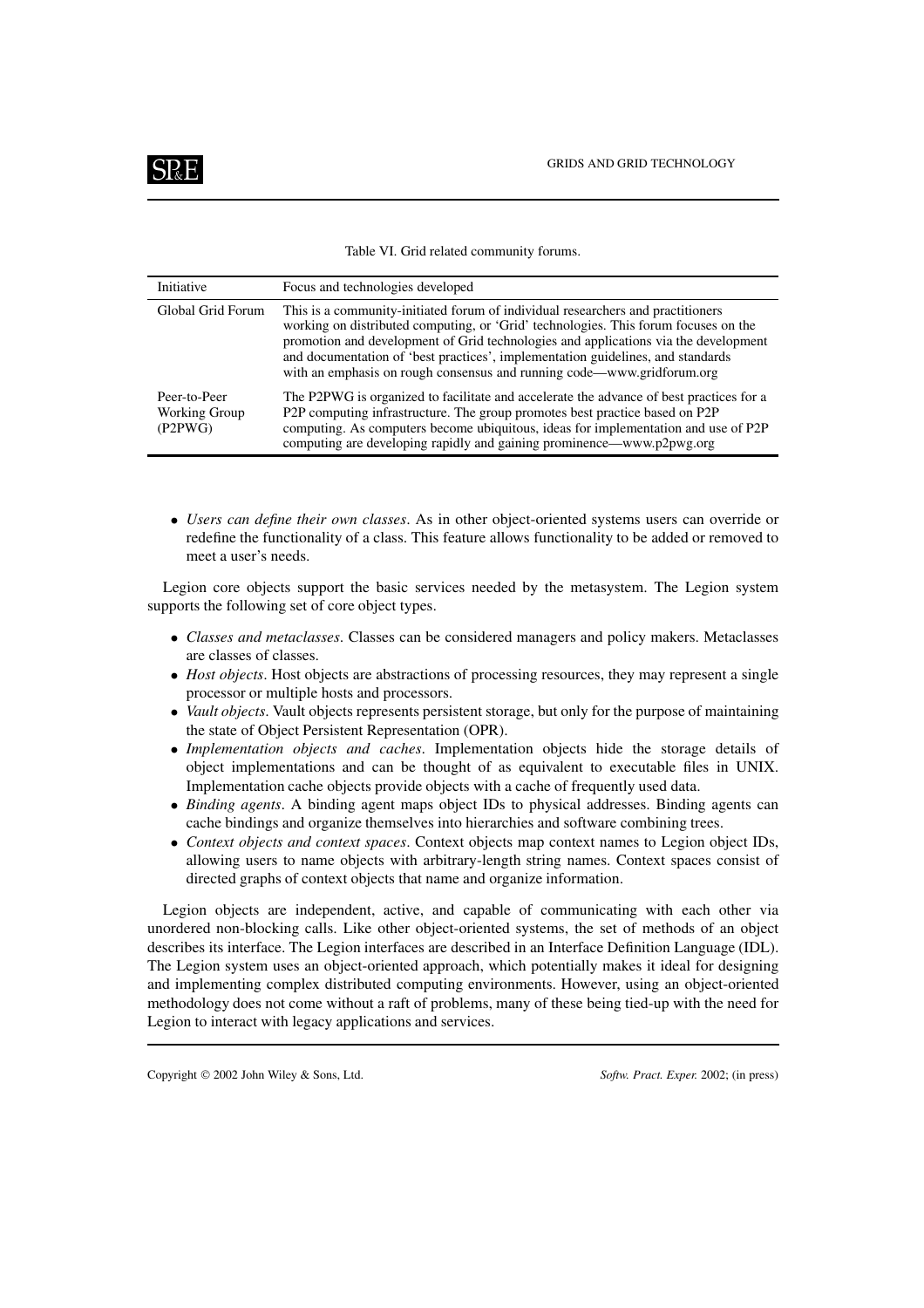Table VI. Grid related community forums.

<span id="page-14-0"></span>

| Initiative                               | Focus and technologies developed                                                                                                                                                                                                                                                                                                                                                                                           |
|------------------------------------------|----------------------------------------------------------------------------------------------------------------------------------------------------------------------------------------------------------------------------------------------------------------------------------------------------------------------------------------------------------------------------------------------------------------------------|
| Global Grid Forum                        | This is a community-initiated forum of individual researchers and practitioners<br>working on distributed computing, or 'Grid' technologies. This forum focuses on the<br>promotion and development of Grid technologies and applications via the development<br>and documentation of 'best practices', implementation guidelines, and standards<br>with an emphasis on rough consensus and running code—www.gridforum.org |
| Peer-to-Peer<br>Working Group<br>(P2PWG) | The P2PWG is organized to facilitate and accelerate the advance of best practices for a<br>P2P computing infrastructure. The group promotes best practice based on P2P<br>computing. As computers become ubiquitous, ideas for implementation and use of P2P<br>computing are developing rapidly and gaining prominence—www.p2pwg.org                                                                                      |

• *Users can define their own classes*. As in other object-oriented systems users can override or redefine the functionality of a class. This feature allows functionality to be added or removed to meet a user's needs.

Legion core objects support the basic services needed by the metasystem. The Legion system supports the following set of core object types.

- *Classes and metaclasses*. Classes can be considered managers and policy makers. Metaclasses are classes of classes.
- *Host objects*. Host objects are abstractions of processing resources, they may represent a single processor or multiple hosts and processors.
- *Vault objects*. Vault objects represents persistent storage, but only for the purpose of maintaining the state of Object Persistent Representation (OPR).
- *Implementation objects and caches*. Implementation objects hide the storage details of object implementations and can be thought of as equivalent to executable files in UNIX. Implementation cache objects provide objects with a cache of frequently used data.
- *Binding agents*. A binding agent maps object IDs to physical addresses. Binding agents can cache bindings and organize themselves into hierarchies and software combining trees.
- *Context objects and context spaces*. Context objects map context names to Legion object IDs, allowing users to name objects with arbitrary-length string names. Context spaces consist of directed graphs of context objects that name and organize information.

Legion objects are independent, active, and capable of communicating with each other via unordered non-blocking calls. Like other object-oriented systems, the set of methods of an object describes its interface. The Legion interfaces are described in an Interface Definition Language (IDL). The Legion system uses an object-oriented approach, which potentially makes it ideal for designing and implementing complex distributed computing environments. However, using an object-oriented methodology does not come without a raft of problems, many of these being tied-up with the need for Legion to interact with legacy applications and services.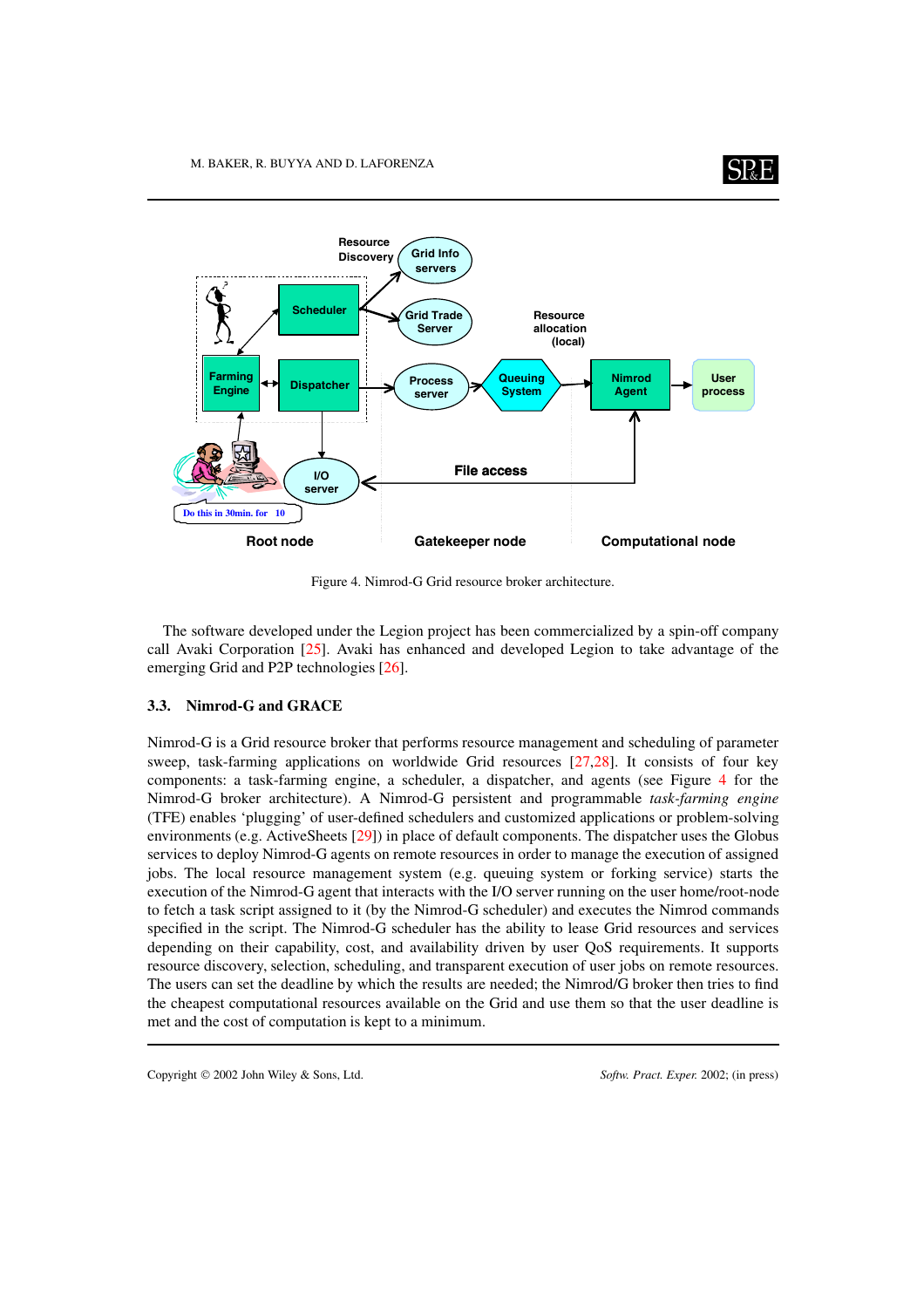<span id="page-15-0"></span>

Figure 4. Nimrod-G Grid resource broker architecture.

The software developed under the Legion project has been commercialized by a spin-off company call Avaki Corporation [[25\]](#page-28-19). Avaki has enhanced and developed Legion to take advantage of the emerging Grid and P2P technologies [\[26](#page-28-20)].

# **3.3. Nimrod-G and GRACE**

Nimrod-G is a Grid resource broker that performs resource management and scheduling of parameter sweep, task-farming applications on worldwide Grid resources [\[27](#page-28-21)[,28\]](#page-28-22). It consists of four key components: a task-farming engine, a scheduler, a dispatcher, and agents (see Figure [4](#page-15-0) for the Nimrod-G broker architecture). A Nimrod-G persistent and programmable *task-farming engine* (TFE) enables 'plugging' of user-defined schedulers and customized applications or problem-solving environments (e.g. ActiveSheets [[29\]](#page-28-18)) in place of default components. The dispatcher uses the Globus services to deploy Nimrod-G agents on remote resources in order to manage the execution of assigned jobs. The local resource management system (e.g. queuing system or forking service) starts the execution of the Nimrod-G agent that interacts with the I/O server running on the user home/root-node to fetch a task script assigned to it (by the Nimrod-G scheduler) and executes the Nimrod commands specified in the script. The Nimrod-G scheduler has the ability to lease Grid resources and services depending on their capability, cost, and availability driven by user QoS requirements. It supports resource discovery, selection, scheduling, and transparent execution of user jobs on remote resources. The users can set the deadline by which the results are needed; the Nimrod/G broker then tries to find the cheapest computational resources available on the Grid and use them so that the user deadline is met and the cost of computation is kept to a minimum.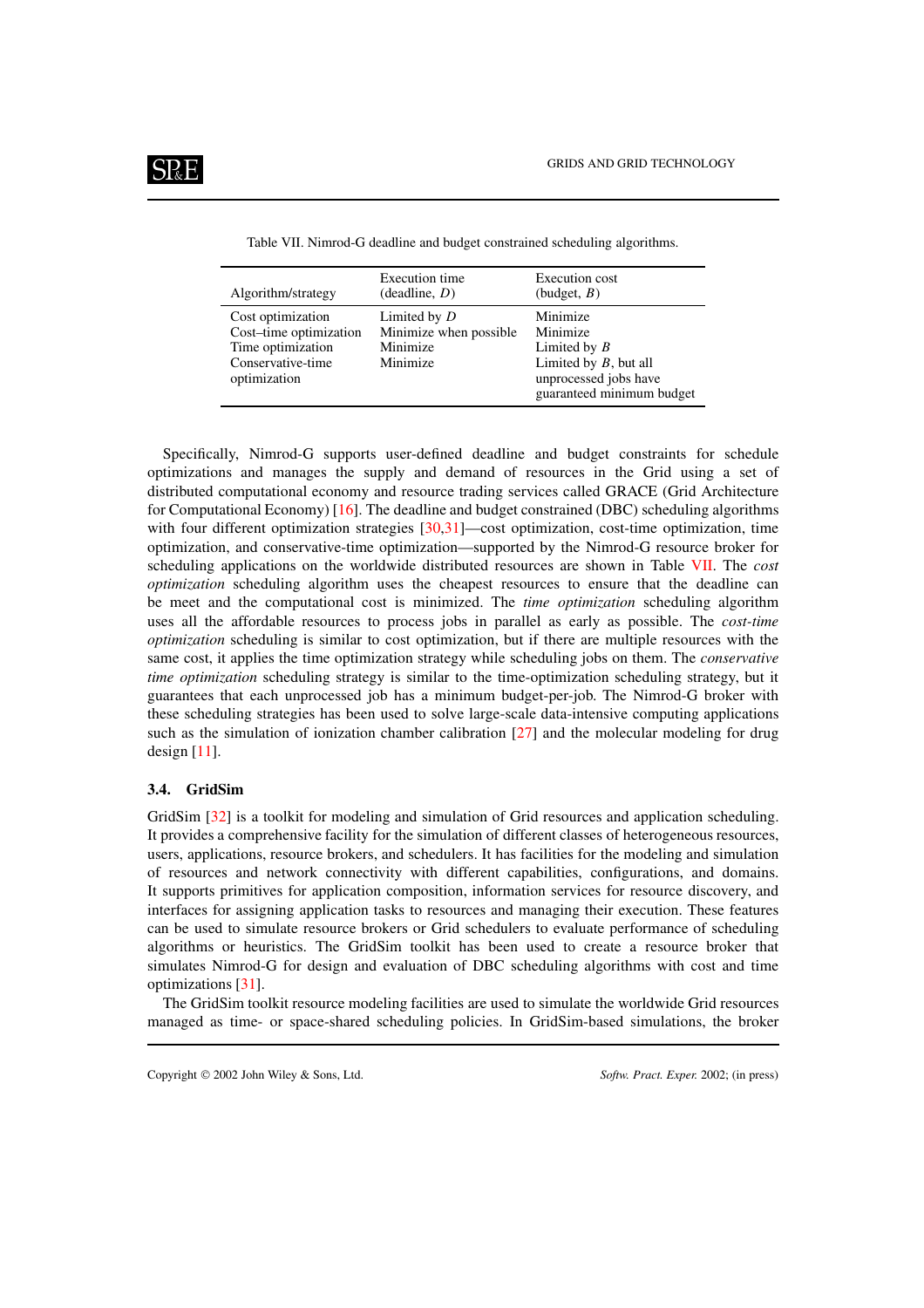| Algorithm/strategy                                                                                    | Execution time<br>(deadline, D)                                  | Execution cost<br>(budget, B)                                                                                            |
|-------------------------------------------------------------------------------------------------------|------------------------------------------------------------------|--------------------------------------------------------------------------------------------------------------------------|
| Cost optimization<br>Cost-time optimization<br>Time optimization<br>Conservative-time<br>optimization | Limited by $D$<br>Minimize when possible<br>Minimize<br>Minimize | Minimize<br>Minimize<br>Limited by $B$<br>Limited by $B$ , but all<br>unprocessed jobs have<br>guaranteed minimum budget |

<span id="page-16-0"></span>Table VII. Nimrod-G deadline and budget constrained scheduling algorithms.

Specifically, Nimrod-G supports user-defined deadline and budget constraints for schedule optimizations and manages the supply and demand of resources in the Grid using a set of distributed computational economy and resource trading services called GRACE (Grid Architecture for Computational Economy) [\[16\]](#page-28-14). The deadline and budget constrained (DBC) scheduling algorithms with four different optimization strategies [[30,](#page-28-25)[31](#page-28-23)]—cost optimization, cost-time optimization, time optimization, and conservative-time optimization—supported by the Nimrod-G resource broker for scheduling applications on the worldwide distributed resources are shown in Table [VII.](#page-16-0) The *cost optimization* scheduling algorithm uses the cheapest resources to ensure that the deadline can be meet and the computational cost is minimized. The *time optimization* scheduling algorithm uses all the affordable resources to process jobs in parallel as early as possible. The *cost-time optimization* scheduling is similar to cost optimization, but if there are multiple resources with the same cost, it applies the time optimization strategy while scheduling jobs on them. The *conservative time optimization* scheduling strategy is similar to the time-optimization scheduling strategy, but it guarantees that each unprocessed job has a minimum budget-per-job. The Nimrod-G broker with these scheduling strategies has been used to solve large-scale data-intensive computing applications such as the simulation of ionization chamber calibration [[27\]](#page-28-21) and the molecular modeling for drug design [[11\]](#page-28-5).

## **3.4. GridSim**

GridSim [[32\]](#page-28-24) is a toolkit for modeling and simulation of Grid resources and application scheduling. It provides a comprehensive facility for the simulation of different classes of heterogeneous resources, users, applications, resource brokers, and schedulers. It has facilities for the modeling and simulation of resources and network connectivity with different capabilities, configurations, and domains. It supports primitives for application composition, information services for resource discovery, and interfaces for assigning application tasks to resources and managing their execution. These features can be used to simulate resource brokers or Grid schedulers to evaluate performance of scheduling algorithms or heuristics. The GridSim toolkit has been used to create a resource broker that simulates Nimrod-G for design and evaluation of DBC scheduling algorithms with cost and time optimizations [[31\]](#page-28-23).

The GridSim toolkit resource modeling facilities are used to simulate the worldwide Grid resources managed as time- or space-shared scheduling policies. In GridSim-based simulations, the broker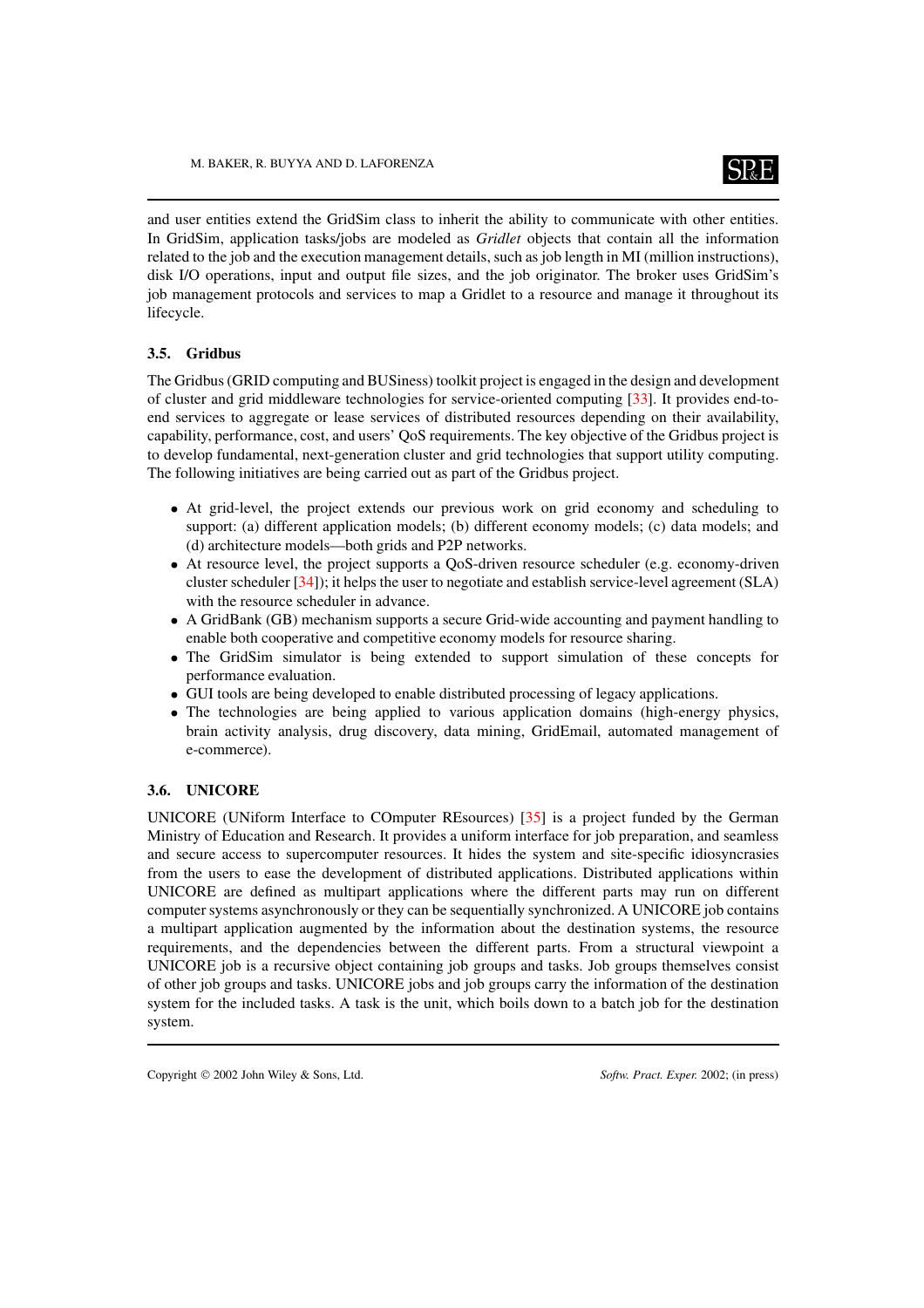

and user entities extend the GridSim class to inherit the ability to communicate with other entities. In GridSim, application tasks/jobs are modeled as *Gridlet* objects that contain all the information related to the job and the execution management details, such as job length in MI (million instructions), disk I/O operations, input and output file sizes, and the job originator. The broker uses GridSim's job management protocols and services to map a Gridlet to a resource and manage it throughout its lifecycle.

# **3.5. Gridbus**

The Gridbus (GRID computing and BUSiness) toolkit project is engaged in the design and development of cluster and grid middleware technologies for service-oriented computing [\[33](#page-28-26)]. It provides end-toend services to aggregate or lease services of distributed resources depending on their availability, capability, performance, cost, and users' QoS requirements. The key objective of the Gridbus project is to develop fundamental, next-generation cluster and grid technologies that support utility computing. The following initiatives are being carried out as part of the Gridbus project.

- At grid-level, the project extends our previous work on grid economy and scheduling to support: (a) different application models; (b) different economy models; (c) data models; and (d) architecture models—both grids and P2P networks.
- At resource level, the project supports a QoS-driven resource scheduler (e.g. economy-driven cluster scheduler [\[34](#page-29-1)]); it helps the user to negotiate and establish service-level agreement (SLA) with the resource scheduler in advance.
- A GridBank (GB) mechanism supports a secure Grid-wide accounting and payment handling to enable both cooperative and competitive economy models for resource sharing.
- The GridSim simulator is being extended to support simulation of these concepts for performance evaluation.
- GUI tools are being developed to enable distributed processing of legacy applications.
- The technologies are being applied to various application domains (high-energy physics, brain activity analysis, drug discovery, data mining, GridEmail, automated management of e-commerce).

# **3.6. UNICORE**

UNICORE (UNiform Interface to COmputer REsources) [\[35](#page-29-0)] is a project funded by the German Ministry of Education and Research. It provides a uniform interface for job preparation, and seamless and secure access to supercomputer resources. It hides the system and site-specific idiosyncrasies from the users to ease the development of distributed applications. Distributed applications within UNICORE are defined as multipart applications where the different parts may run on different computer systems asynchronously or they can be sequentially synchronized. A UNICORE job contains a multipart application augmented by the information about the destination systems, the resource requirements, and the dependencies between the different parts. From a structural viewpoint a UNICORE job is a recursive object containing job groups and tasks. Job groups themselves consist of other job groups and tasks. UNICORE jobs and job groups carry the information of the destination system for the included tasks. A task is the unit, which boils down to a batch job for the destination system.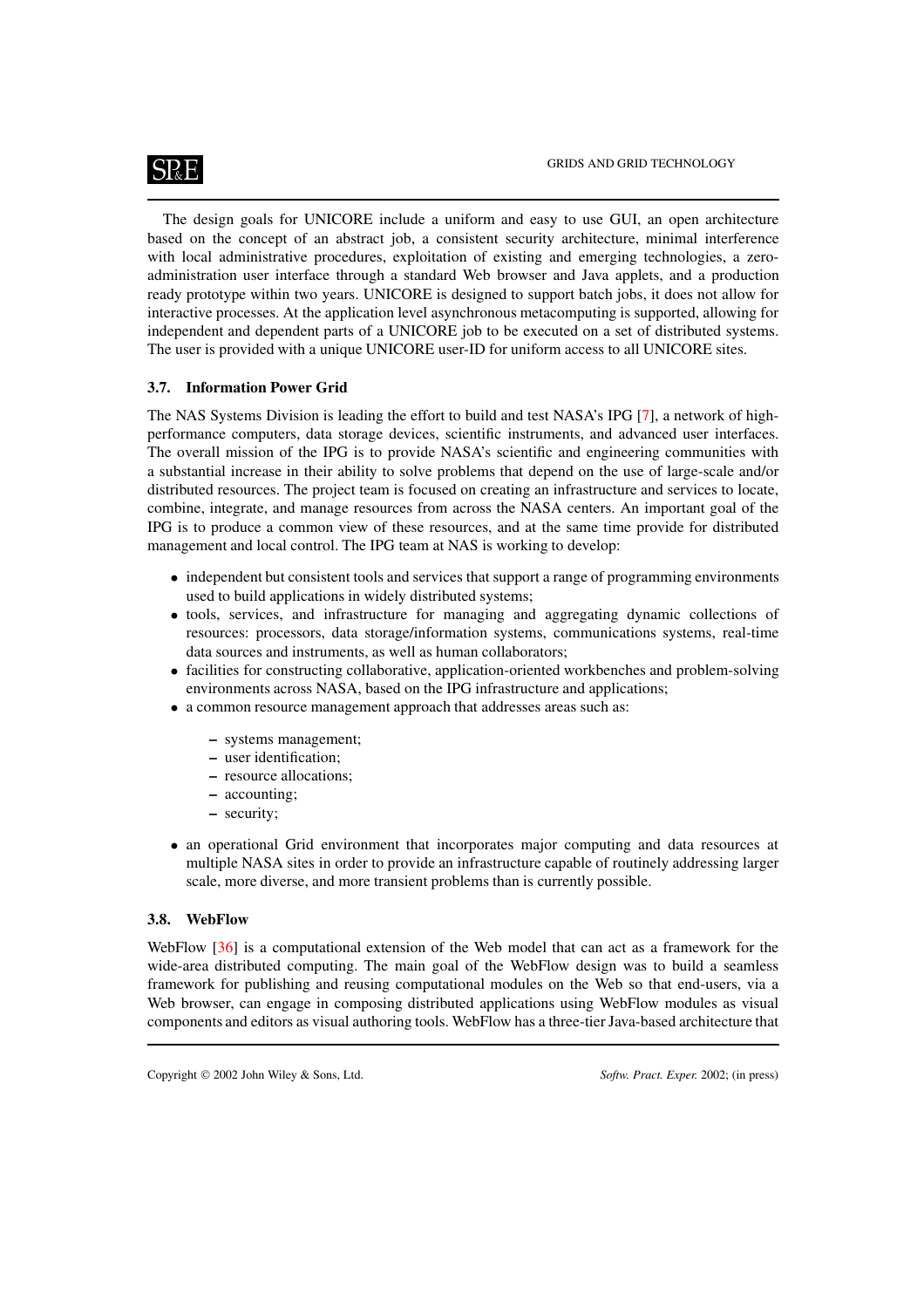

The design goals for UNICORE include a uniform and easy to use GUI, an open architecture based on the concept of an abstract job, a consistent security architecture, minimal interference with local administrative procedures, exploitation of existing and emerging technologies, a zeroadministration user interface through a standard Web browser and Java applets, and a production ready prototype within two years. UNICORE is designed to support batch jobs, it does not allow for interactive processes. At the application level asynchronous metacomputing is supported, allowing for independent and dependent parts of a UNICORE job to be executed on a set of distributed systems. The user is provided with a unique UNICORE user-ID for uniform access to all UNICORE sites.

# **3.7. Information Power Grid**

The NAS Systems Division is leading the effort to build and test NASA's IPG [\[7](#page-28-4)], a network of highperformance computers, data storage devices, scientific instruments, and advanced user interfaces. The overall mission of the IPG is to provide NASA's scientific and engineering communities with a substantial increase in their ability to solve problems that depend on the use of large-scale and/or distributed resources. The project team is focused on creating an infrastructure and services to locate, combine, integrate, and manage resources from across the NASA centers. An important goal of the IPG is to produce a common view of these resources, and at the same time provide for distributed management and local control. The IPG team at NAS is working to develop:

- independent but consistent tools and services that support a range of programming environments used to build applications in widely distributed systems;
- tools, services, and infrastructure for managing and aggregating dynamic collections of resources: processors, data storage/information systems, communications systems, real-time data sources and instruments, as well as human collaborators;
- facilities for constructing collaborative, application-oriented workbenches and problem-solving environments across NASA, based on the IPG infrastructure and applications;
- a common resource management approach that addresses areas such as:
	- **–** systems management;
	- **–** user identification;
	- **–** resource allocations;
	- **–** accounting;
	- **–** security;
- an operational Grid environment that incorporates major computing and data resources at multiple NASA sites in order to provide an infrastructure capable of routinely addressing larger scale, more diverse, and more transient problems than is currently possible.

# **3.8. WebFlow**

WebFlow [\[36](#page-29-2)] is a computational extension of the Web model that can act as a framework for the wide-area distributed computing. The main goal of the WebFlow design was to build a seamless framework for publishing and reusing computational modules on the Web so that end-users, via a Web browser, can engage in composing distributed applications using WebFlow modules as visual components and editors as visual authoring tools. WebFlow has a three-tier Java-based architecture that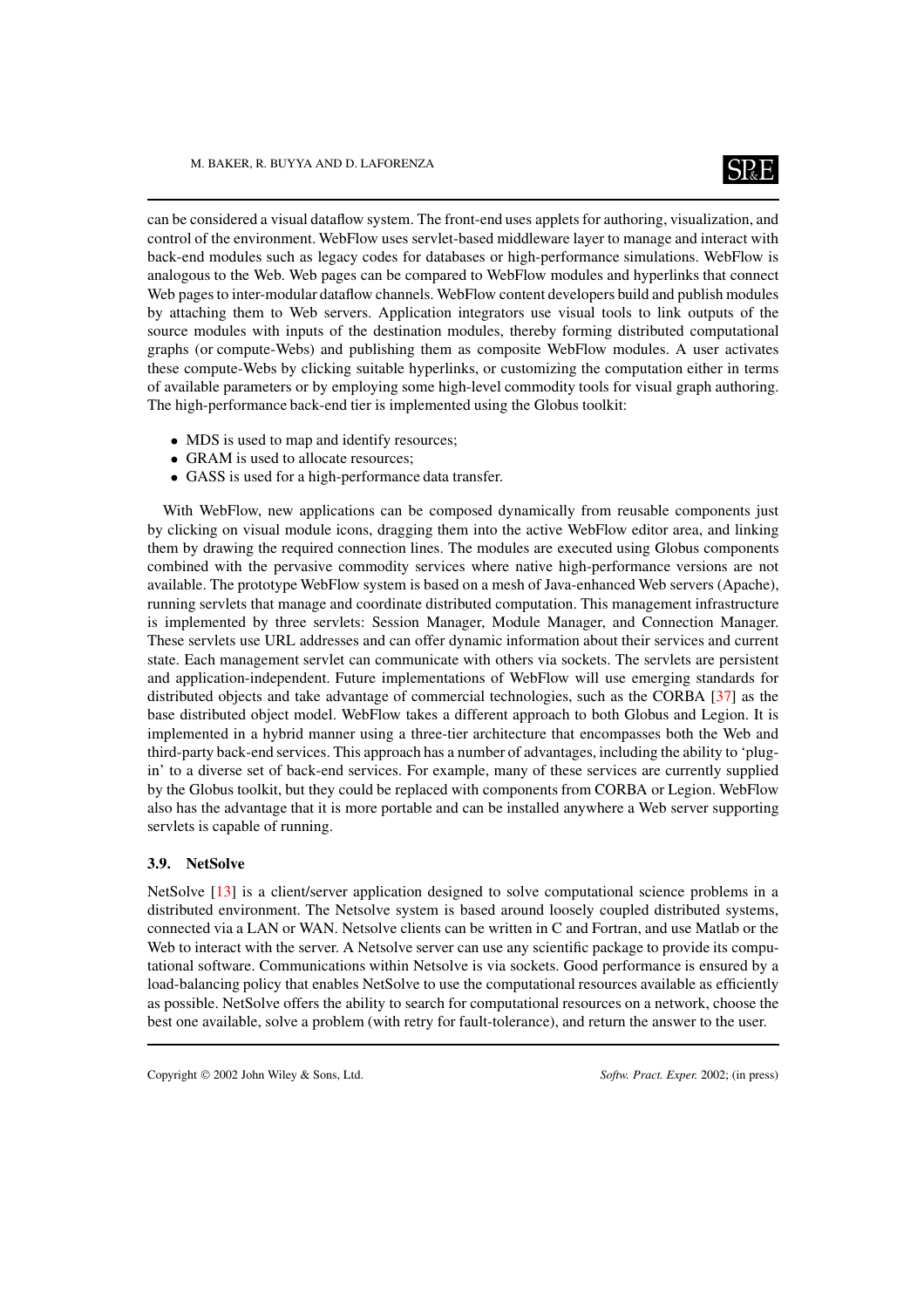

can be considered a visual dataflow system. The front-end uses applets for authoring, visualization, and control of the environment. WebFlow uses servlet-based middleware layer to manage and interact with back-end modules such as legacy codes for databases or high-performance simulations. WebFlow is analogous to the Web. Web pages can be compared to WebFlow modules and hyperlinks that connect Web pages to inter-modular dataflow channels. WebFlow content developers build and publish modules by attaching them to Web servers. Application integrators use visual tools to link outputs of the source modules with inputs of the destination modules, thereby forming distributed computational graphs (or compute-Webs) and publishing them as composite WebFlow modules. A user activates these compute-Webs by clicking suitable hyperlinks, or customizing the computation either in terms of available parameters or by employing some high-level commodity tools for visual graph authoring. The high-performance back-end tier is implemented using the Globus toolkit:

- MDS is used to map and identify resources;
- GRAM is used to allocate resources;
- GASS is used for a high-performance data transfer.

With WebFlow, new applications can be composed dynamically from reusable components just by clicking on visual module icons, dragging them into the active WebFlow editor area, and linking them by drawing the required connection lines. The modules are executed using Globus components combined with the pervasive commodity services where native high-performance versions are not available. The prototype WebFlow system is based on a mesh of Java-enhanced Web servers (Apache), running servlets that manage and coordinate distributed computation. This management infrastructure is implemented by three servlets: Session Manager, Module Manager, and Connection Manager. These servlets use URL addresses and can offer dynamic information about their services and current state. Each management servlet can communicate with others via sockets. The servlets are persistent and application-independent. Future implementations of WebFlow will use emerging standards for distributed objects and take advantage of commercial technologies, such as the CORBA [\[37\]](#page-29-3) as the base distributed object model. WebFlow takes a different approach to both Globus and Legion. It is implemented in a hybrid manner using a three-tier architecture that encompasses both the Web and third-party back-end services. This approach has a number of advantages, including the ability to 'plugin' to a diverse set of back-end services. For example, many of these services are currently supplied by the Globus toolkit, but they could be replaced with components from CORBA or Legion. WebFlow also has the advantage that it is more portable and can be installed anywhere a Web server supporting servlets is capable of running.

#### **3.9. NetSolve**

NetSolve [[13\]](#page-28-8) is a client/server application designed to solve computational science problems in a distributed environment. The Netsolve system is based around loosely coupled distributed systems, connected via a LAN or WAN. Netsolve clients can be written in C and Fortran, and use Matlab or the Web to interact with the server. A Netsolve server can use any scientific package to provide its computational software. Communications within Netsolve is via sockets. Good performance is ensured by a load-balancing policy that enables NetSolve to use the computational resources available as efficiently as possible. NetSolve offers the ability to search for computational resources on a network, choose the best one available, solve a problem (with retry for fault-tolerance), and return the answer to the user.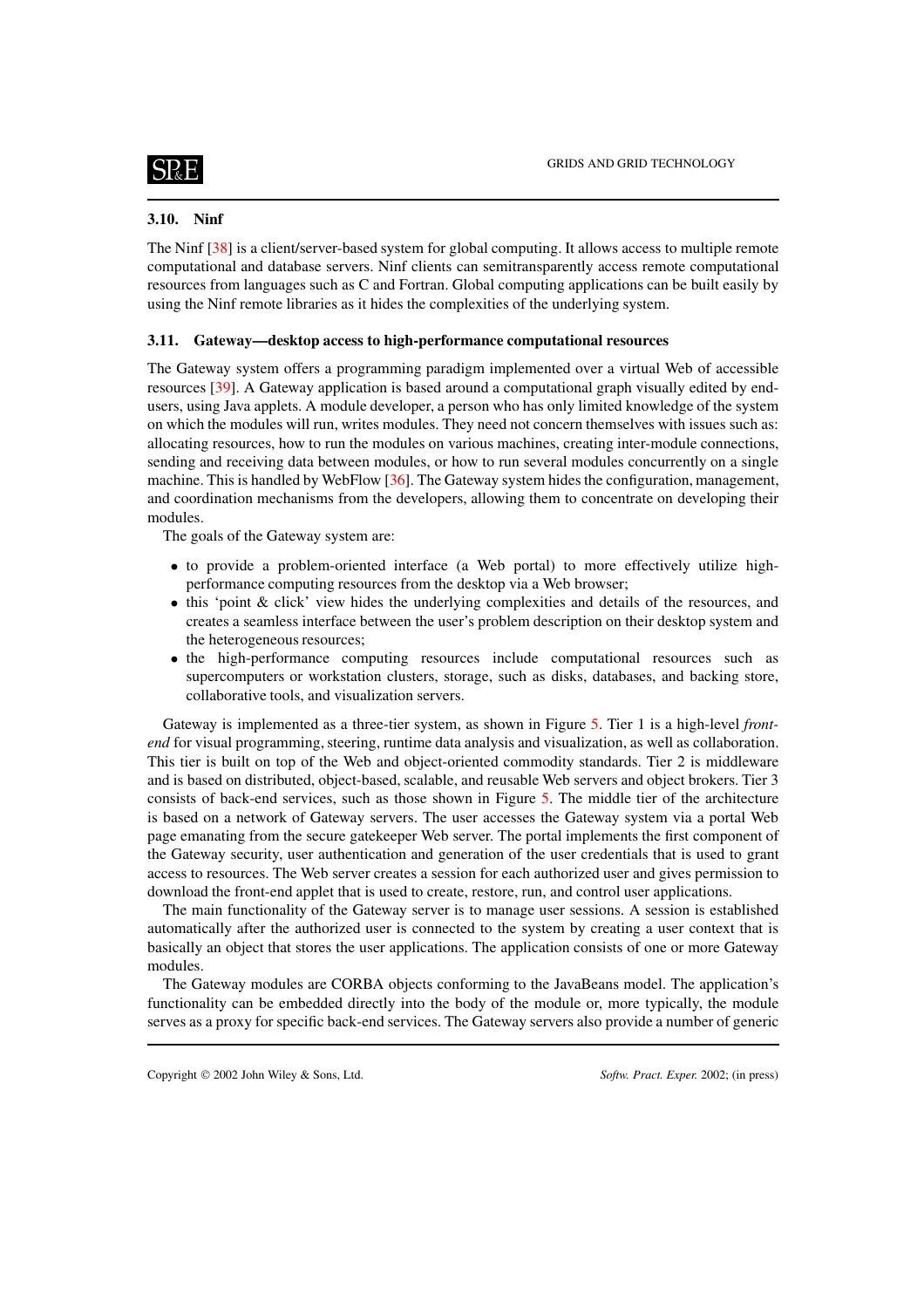

# **3.10. Ninf**

The Ninf [[38\]](#page-29-4) is a client/server-based system for global computing. It allows access to multiple remote computational and database servers. Ninf clients can semitransparently access remote computational resources from languages such as C and Fortran. Global computing applications can be built easily by using the Ninf remote libraries as it hides the complexities of the underlying system.

## **3.11. Gateway—desktop access to high-performance computational resources**

The Gateway system offers a programming paradigm implemented over a virtual Web of accessible resources [\[39\]](#page-29-5). A Gateway application is based around a computational graph visually edited by endusers, using Java applets. A module developer, a person who has only limited knowledge of the system on which the modules will run, writes modules. They need not concern themselves with issues such as: allocating resources, how to run the modules on various machines, creating inter-module connections, sending and receiving data between modules, or how to run several modules concurrently on a single machine. This is handled by WebFlow [[36\]](#page-29-2). The Gateway system hides the configuration, management, and coordination mechanisms from the developers, allowing them to concentrate on developing their modules.

The goals of the Gateway system are:

- to provide a problem-oriented interface (a Web portal) to more effectively utilize highperformance computing resources from the desktop via a Web browser;
- this 'point & click' view hides the underlying complexities and details of the resources, and creates a seamless interface between the user's problem description on their desktop system and the heterogeneous resources;
- the high-performance computing resources include computational resources such as supercomputers or workstation clusters, storage, such as disks, databases, and backing store, collaborative tools, and visualization servers.

Gateway is implemented as a three-tier system, as shown in Figure [5.](#page-21-0) Tier 1 is a high-level *frontend* for visual programming, steering, runtime data analysis and visualization, as well as collaboration. This tier is built on top of the Web and object-oriented commodity standards. Tier 2 is middleware and is based on distributed, object-based, scalable, and reusable Web servers and object brokers. Tier 3 consists of back-end services, such as those shown in Figure [5.](#page-21-0) The middle tier of the architecture is based on a network of Gateway servers. The user accesses the Gateway system via a portal Web page emanating from the secure gatekeeper Web server. The portal implements the first component of the Gateway security, user authentication and generation of the user credentials that is used to grant access to resources. The Web server creates a session for each authorized user and gives permission to download the front-end applet that is used to create, restore, run, and control user applications.

The main functionality of the Gateway server is to manage user sessions. A session is established automatically after the authorized user is connected to the system by creating a user context that is basically an object that stores the user applications. The application consists of one or more Gateway modules.

The Gateway modules are CORBA objects conforming to the JavaBeans model. The application's functionality can be embedded directly into the body of the module or, more typically, the module serves as a proxy for specific back-end services. The Gateway servers also provide a number of generic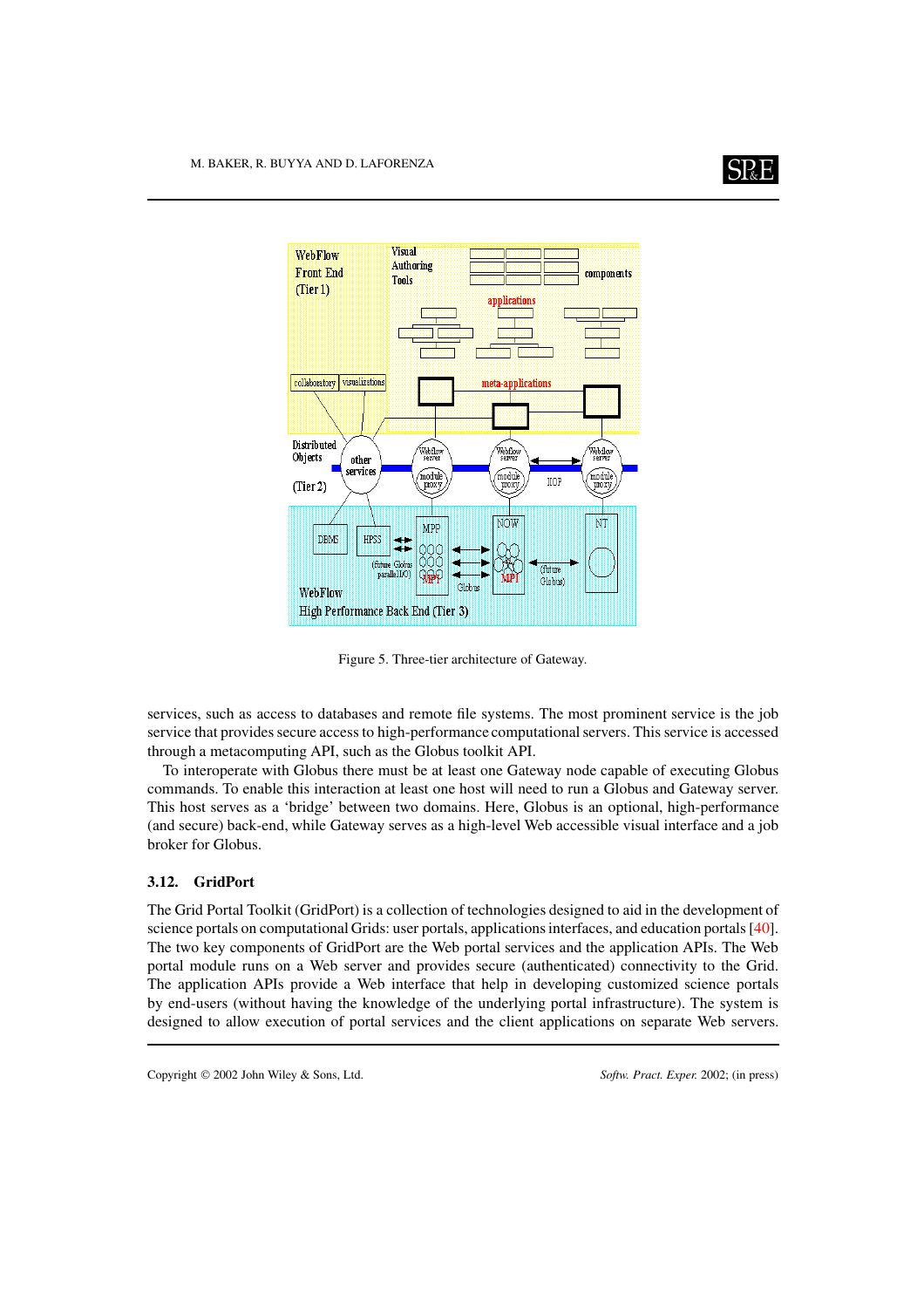

<span id="page-21-0"></span>

Figure 5. Three-tier architecture of Gateway.

services, such as access to databases and remote file systems. The most prominent service is the job service that provides secure access to high-performance computational servers. This service is accessed through a metacomputing API, such as the Globus toolkit API.

To interoperate with Globus there must be at least one Gateway node capable of executing Globus commands. To enable this interaction at least one host will need to run a Globus and Gateway server. This host serves as a 'bridge' between two domains. Here, Globus is an optional, high-performance (and secure) back-end, while Gateway serves as a high-level Web accessible visual interface and a job broker for Globus.

# **3.12. GridPort**

The Grid Portal Toolkit (GridPort) is a collection of technologies designed to aid in the development of science portals on computational Grids: user portals, applications interfaces, and education portals [[40\]](#page-29-6). The two key components of GridPort are the Web portal services and the application APIs. The Web portal module runs on a Web server and provides secure (authenticated) connectivity to the Grid. The application APIs provide a Web interface that help in developing customized science portals by end-users (without having the knowledge of the underlying portal infrastructure). The system is designed to allow execution of portal services and the client applications on separate Web servers.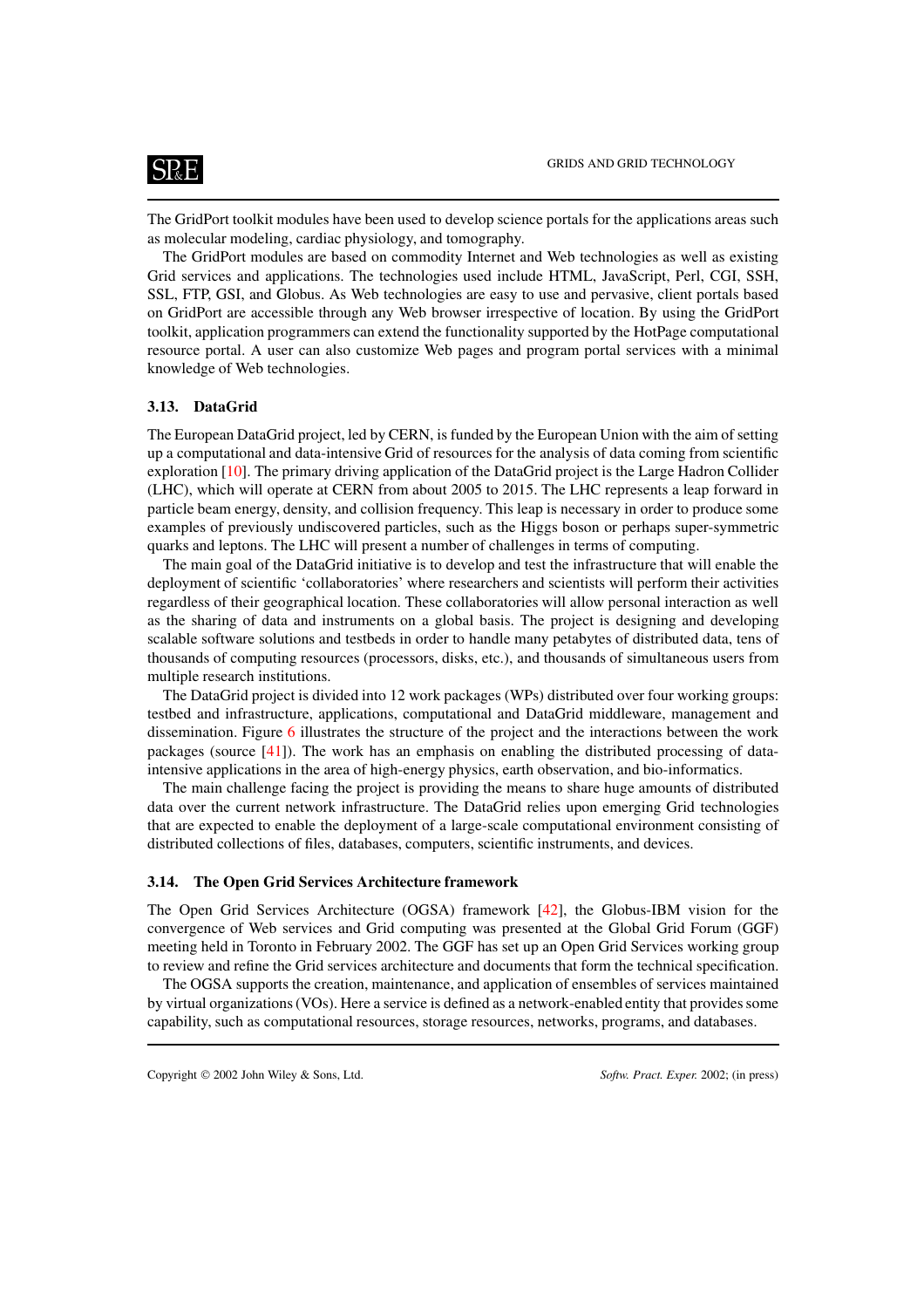The GridPort toolkit modules have been used to develop science portals for the applications areas such as molecular modeling, cardiac physiology, and tomography.

The GridPort modules are based on commodity Internet and Web technologies as well as existing Grid services and applications. The technologies used include HTML, JavaScript, Perl, CGI, SSH, SSL, FTP, GSI, and Globus. As Web technologies are easy to use and pervasive, client portals based on GridPort are accessible through any Web browser irrespective of location. By using the GridPort toolkit, application programmers can extend the functionality supported by the HotPage computational resource portal. A user can also customize Web pages and program portal services with a minimal knowledge of Web technologies.

# **3.13. DataGrid**

The European DataGrid project, led by CERN, is funded by the European Union with the aim of setting up a computational and data-intensive Grid of resources for the analysis of data coming from scientific exploration [[10\]](#page-28-3). The primary driving application of the DataGrid project is the Large Hadron Collider (LHC), which will operate at CERN from about 2005 to 2015. The LHC represents a leap forward in particle beam energy, density, and collision frequency. This leap is necessary in order to produce some examples of previously undiscovered particles, such as the Higgs boson or perhaps super-symmetric quarks and leptons. The LHC will present a number of challenges in terms of computing.

The main goal of the DataGrid initiative is to develop and test the infrastructure that will enable the deployment of scientific 'collaboratories' where researchers and scientists will perform their activities regardless of their geographical location. These collaboratories will allow personal interaction as well as the sharing of data and instruments on a global basis. The project is designing and developing scalable software solutions and testbeds in order to handle many petabytes of distributed data, tens of thousands of computing resources (processors, disks, etc.), and thousands of simultaneous users from multiple research institutions.

The DataGrid project is divided into 12 work packages (WPs) distributed over four working groups: testbed and infrastructure, applications, computational and DataGrid middleware, management and dissemination. Figure [6](#page-23-0) illustrates the structure of the project and the interactions between the work packages (source [[41\]](#page-29-8)). The work has an emphasis on enabling the distributed processing of dataintensive applications in the area of high-energy physics, earth observation, and bio-informatics.

The main challenge facing the project is providing the means to share huge amounts of distributed data over the current network infrastructure. The DataGrid relies upon emerging Grid technologies that are expected to enable the deployment of a large-scale computational environment consisting of distributed collections of files, databases, computers, scientific instruments, and devices.

## **3.14. The Open Grid Services Architecture framework**

The Open Grid Services Architecture (OGSA) framework [\[42\]](#page-29-7), the Globus-IBM vision for the convergence of Web services and Grid computing was presented at the Global Grid Forum (GGF) meeting held in Toronto in February 2002. The GGF has set up an Open Grid Services working group to review and refine the Grid services architecture and documents that form the technical specification.

The OGSA supports the creation, maintenance, and application of ensembles of services maintained by virtual organizations (VOs). Here a service is defined as a network-enabled entity that provides some capability, such as computational resources, storage resources, networks, programs, and databases.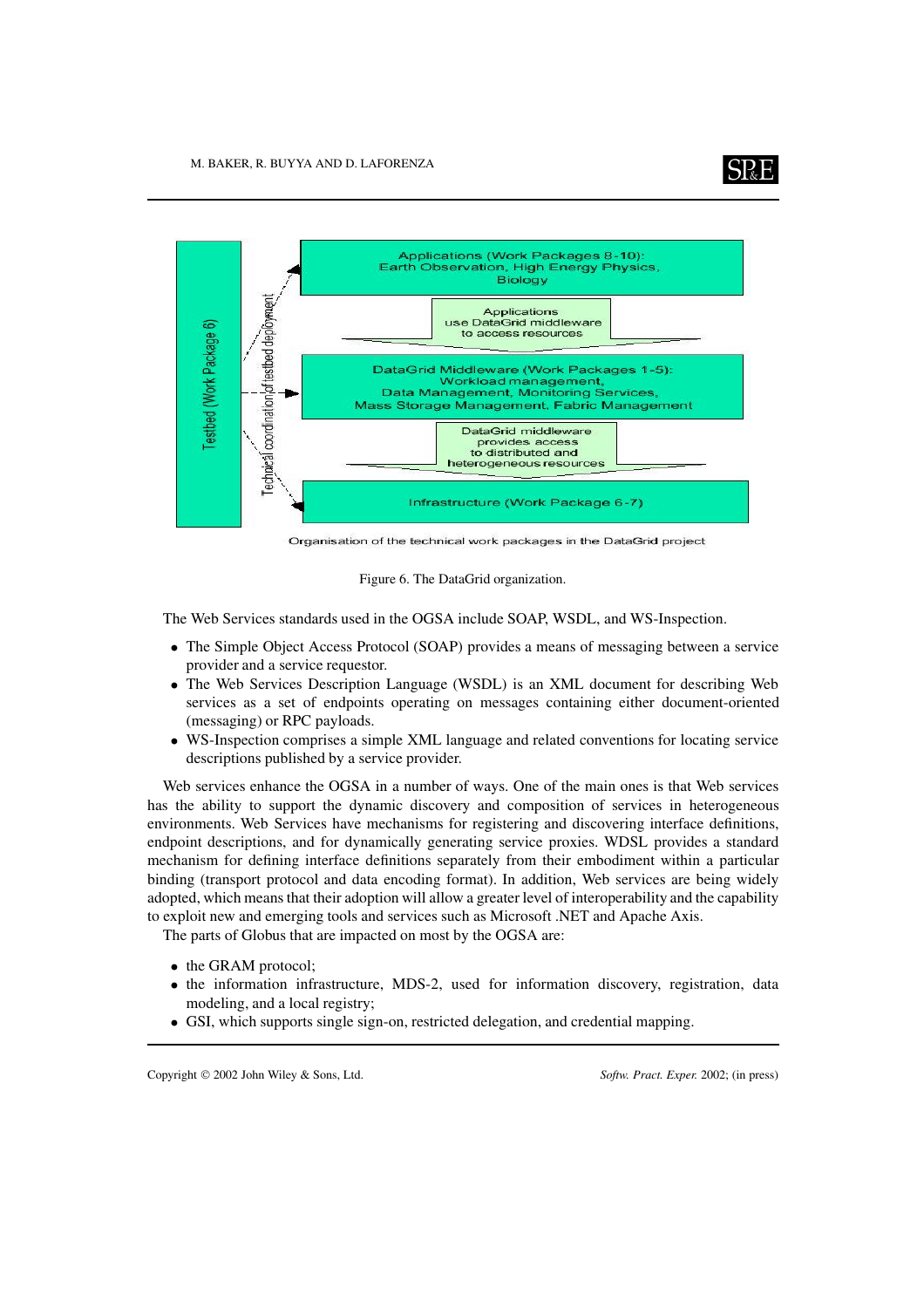

<span id="page-23-0"></span>

Organisation of the technical work packages in the DataGrid project

Figure 6. The DataGrid organization.

The Web Services standards used in the OGSA include SOAP, WSDL, and WS-Inspection.

- The Simple Object Access Protocol (SOAP) provides a means of messaging between a service provider and a service requestor.
- The Web Services Description Language (WSDL) is an XML document for describing Web services as a set of endpoints operating on messages containing either document-oriented (messaging) or RPC payloads.
- WS-Inspection comprises a simple XML language and related conventions for locating service descriptions published by a service provider.

Web services enhance the OGSA in a number of ways. One of the main ones is that Web services has the ability to support the dynamic discovery and composition of services in heterogeneous environments. Web Services have mechanisms for registering and discovering interface definitions, endpoint descriptions, and for dynamically generating service proxies. WDSL provides a standard mechanism for defining interface definitions separately from their embodiment within a particular binding (transport protocol and data encoding format). In addition, Web services are being widely adopted, which means that their adoption will allow a greater level of interoperability and the capability to exploit new and emerging tools and services such as Microsoft .NET and Apache Axis.

The parts of Globus that are impacted on most by the OGSA are:

- the GRAM protocol;
- the information infrastructure, MDS-2, used for information discovery, registration, data modeling, and a local registry;
- GSI, which supports single sign-on, restricted delegation, and credential mapping.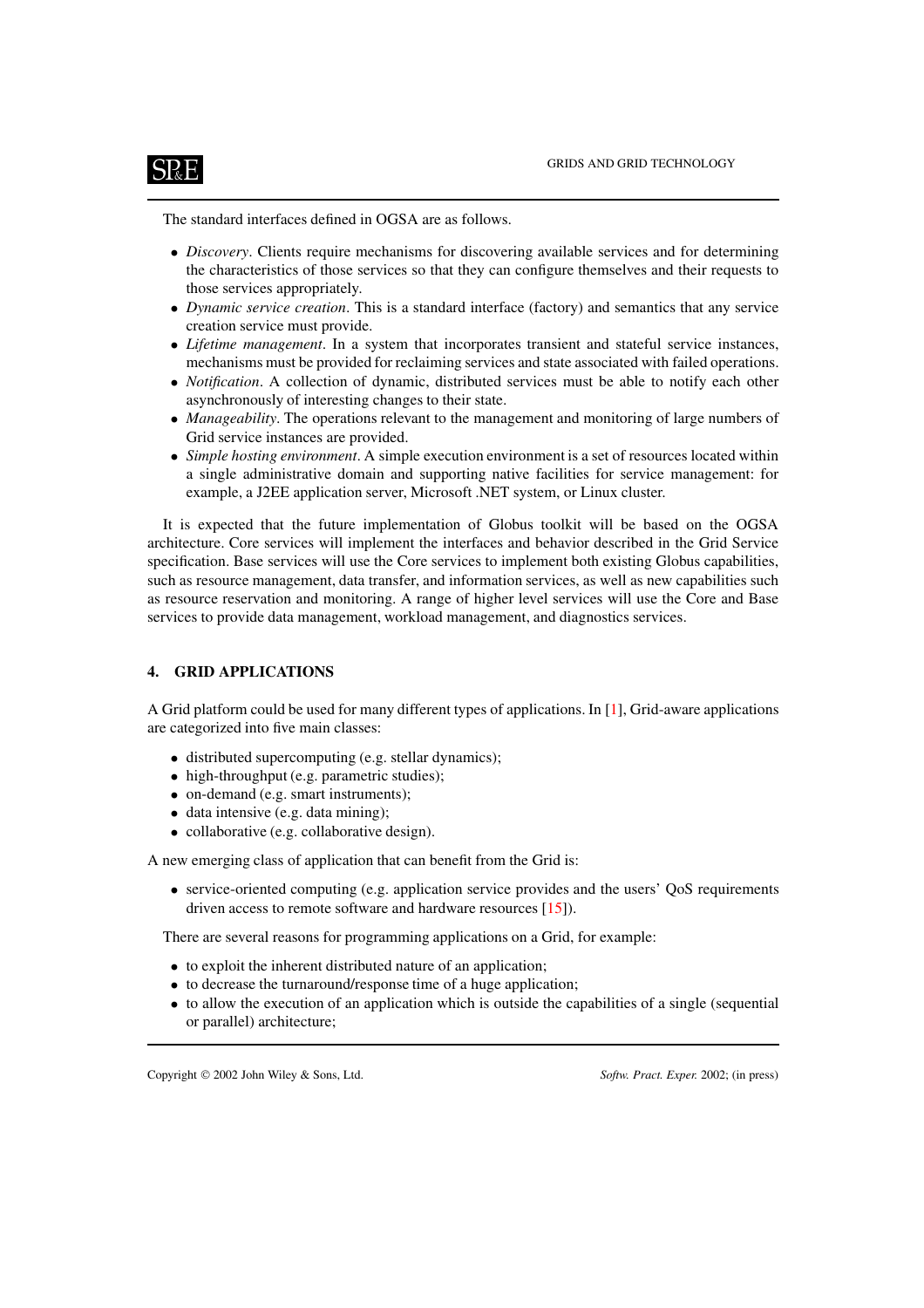The standard interfaces defined in OGSA are as follows.

- *Discovery*. Clients require mechanisms for discovering available services and for determining the characteristics of those services so that they can configure themselves and their requests to those services appropriately.
- *Dynamic service creation*. This is a standard interface (factory) and semantics that any service creation service must provide.
- *Lifetime management*. In a system that incorporates transient and stateful service instances, mechanisms must be provided for reclaiming services and state associated with failed operations.
- *Notification*. A collection of dynamic, distributed services must be able to notify each other asynchronously of interesting changes to their state.
- *Manageability*. The operations relevant to the management and monitoring of large numbers of Grid service instances are provided.
- *Simple hosting environment*. A simple execution environment is a set of resources located within a single administrative domain and supporting native facilities for service management: for example, a J2EE application server, Microsoft .NET system, or Linux cluster.

It is expected that the future implementation of Globus toolkit will be based on the OGSA architecture. Core services will implement the interfaces and behavior described in the Grid Service specification. Base services will use the Core services to implement both existing Globus capabilities, such as resource management, data transfer, and information services, as well as new capabilities such as resource reservation and monitoring. A range of higher level services will use the Core and Base services to provide data management, workload management, and diagnostics services.

# <span id="page-24-0"></span>**4. GRID APPLICATIONS**

A Grid platform could be used for many different types of applications. In [[1\]](#page-27-3), Grid-aware applications are categorized into five main classes:

- distributed supercomputing (e.g. stellar dynamics);
- high-throughput (e.g. parametric studies);
- on-demand (e.g. smart instruments);
- data intensive (e.g. data mining);
- collaborative (e.g. collaborative design).

A new emerging class of application that can benefit from the Grid is:

• service-oriented computing (e.g. application service provides and the users' QoS requirements driven access to remote software and hardware resources [\[15](#page-28-9)]).

There are several reasons for programming applications on a Grid, for example:

- to exploit the inherent distributed nature of an application;
- to decrease the turnaround/response time of a huge application;
- to allow the execution of an application which is outside the capabilities of a single (sequential or parallel) architecture;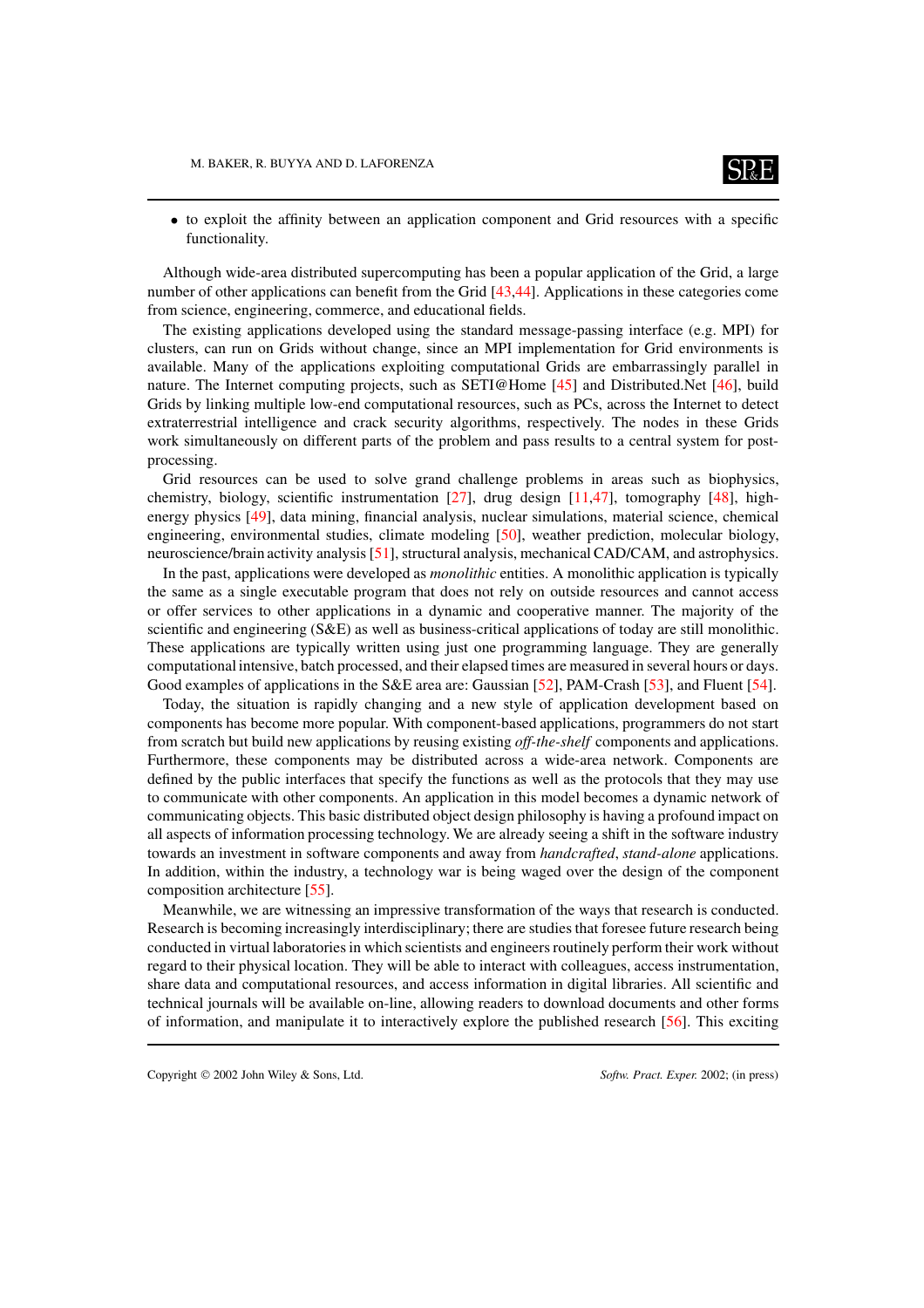

• to exploit the affinity between an application component and Grid resources with a specific functionality.

Although wide-area distributed supercomputing has been a popular application of the Grid, a large number of other applications can benefit from the Grid [\[43,](#page-29-13)[44\]](#page-29-18). Applications in these categories come from science, engineering, commerce, and educational fields.

The existing applications developed using the standard message-passing interface (e.g. MPI) for clusters, can run on Grids without change, since an MPI implementation for Grid environments is available. Many of the applications exploiting computational Grids are embarrassingly parallel in nature. The Internet computing projects, such as SETI@Home [\[45\]](#page-29-21) and Distributed.Net [[46\]](#page-29-15), build Grids by linking multiple low-end computational resources, such as PCs, across the Internet to detect extraterrestrial intelligence and crack security algorithms, respectively. The nodes in these Grids work simultaneously on different parts of the problem and pass results to a central system for postprocessing.

Grid resources can be used to solve grand challenge problems in areas such as biophysics, chemistry, biology, scientific instrumentation [[27\]](#page-28-21), drug design [\[11,](#page-28-5)[47\]](#page-29-17), tomography [\[48\]](#page-29-22), highenergy physics [[49\]](#page-29-12), data mining, financial analysis, nuclear simulations, material science, chemical engineering, environmental studies, climate modeling [[50\]](#page-29-10), weather prediction, molecular biology, neuroscience/brain activity analysis [\[51](#page-29-11)], structural analysis, mechanical CAD/CAM, and astrophysics.

In the past, applications were developed as *monolithic* entities. A monolithic application is typically the same as a single executable program that does not rely on outside resources and cannot access or offer services to other applications in a dynamic and cooperative manner. The majority of the scientific and engineering (S&E) as well as business-critical applications of today are still monolithic. These applications are typically written using just one programming language. They are generally computational intensive, batch processed, and their elapsed times are measured in several hours or days. Good examples of applications in the S&E area are: Gaussian [\[52\]](#page-29-14), PAM-Crash [[53\]](#page-29-9), and Fluent [\[54](#page-29-19)].

Today, the situation is rapidly changing and a new style of application development based on components has become more popular. With component-based applications, programmers do not start from scratch but build new applications by reusing existing *off-the-shelf* components and applications. Furthermore, these components may be distributed across a wide-area network. Components are defined by the public interfaces that specify the functions as well as the protocols that they may use to communicate with other components. An application in this model becomes a dynamic network of communicating objects. This basic distributed object design philosophy is having a profound impact on all aspects of information processing technology. We are already seeing a shift in the software industry towards an investment in software components and away from *handcrafted*, *stand-alone* applications. In addition, within the industry, a technology war is being waged over the design of the component composition architecture [\[55\]](#page-29-16).

Meanwhile, we are witnessing an impressive transformation of the ways that research is conducted. Research is becoming increasingly interdisciplinary; there are studies that foresee future research being conducted in virtual laboratories in which scientists and engineers routinely perform their work without regard to their physical location. They will be able to interact with colleagues, access instrumentation, share data and computational resources, and access information in digital libraries. All scientific and technical journals will be available on-line, allowing readers to download documents and other forms of information, and manipulate it to interactively explore the published research [\[56](#page-29-20)]. This exciting

Copyright 2002 John Wiley & Sons, Ltd. *Softw. Pract. Exper.* 2002; (in press)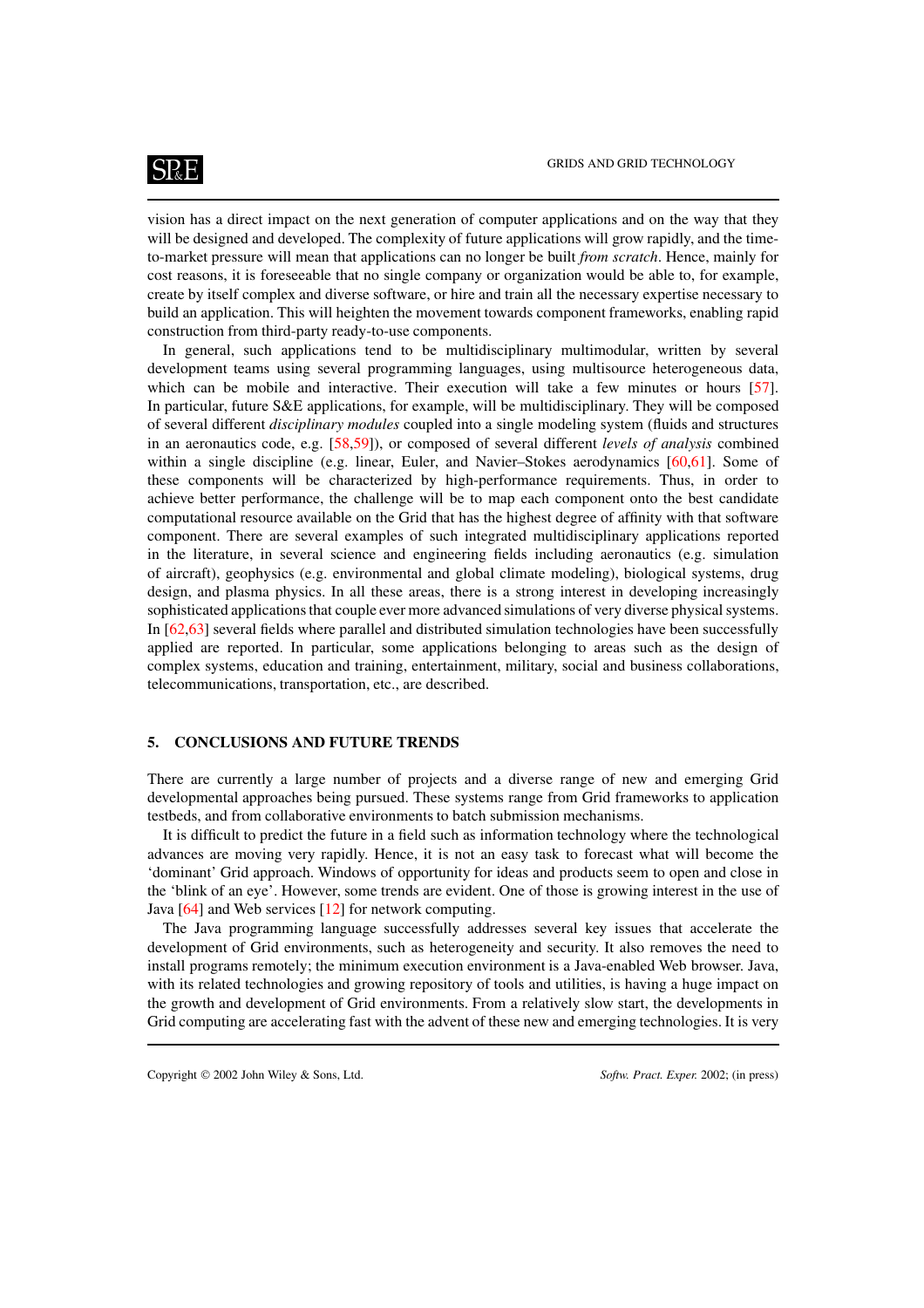# $SRE$

vision has a direct impact on the next generation of computer applications and on the way that they will be designed and developed. The complexity of future applications will grow rapidly, and the timeto-market pressure will mean that applications can no longer be built *from scratch*. Hence, mainly for cost reasons, it is foreseeable that no single company or organization would be able to, for example, create by itself complex and diverse software, or hire and train all the necessary expertise necessary to build an application. This will heighten the movement towards component frameworks, enabling rapid construction from third-party ready-to-use components.

In general, such applications tend to be multidisciplinary multimodular, written by several development teams using several programming languages, using multisource heterogeneous data, which can be mobile and interactive. Their execution will take a few minutes or hours [[57\]](#page-29-23). In particular, future S&E applications, for example, will be multidisciplinary. They will be composed of several different *disciplinary modules* coupled into a single modeling system (fluids and structures in an aeronautics code, e.g. [\[58](#page-29-27),[59\]](#page-29-28)), or composed of several different *levels of analysis* combined within a single discipline (e.g. linear, Euler, and Navier–Stokes aerodynamics [\[60,](#page-29-26)[61](#page-29-30)]. Some of these components will be characterized by high-performance requirements. Thus, in order to achieve better performance, the challenge will be to map each component onto the best candidate computational resource available on the Grid that has the highest degree of affinity with that software component. There are several examples of such integrated multidisciplinary applications reported in the literature, in several science and engineering fields including aeronautics (e.g. simulation of aircraft), geophysics (e.g. environmental and global climate modeling), biological systems, drug design, and plasma physics. In all these areas, there is a strong interest in developing increasingly sophisticated applications that couple ever more advanced simulations of very diverse physical systems. In [\[62](#page-29-24)[,63\]](#page-29-25) several fields where parallel and distributed simulation technologies have been successfully applied are reported. In particular, some applications belonging to areas such as the design of complex systems, education and training, entertainment, military, social and business collaborations, telecommunications, transportation, etc., are described.

# <span id="page-26-0"></span>**5. CONCLUSIONS AND FUTURE TRENDS**

There are currently a large number of projects and a diverse range of new and emerging Grid developmental approaches being pursued. These systems range from Grid frameworks to application testbeds, and from collaborative environments to batch submission mechanisms.

It is difficult to predict the future in a field such as information technology where the technological advances are moving very rapidly. Hence, it is not an easy task to forecast what will become the 'dominant' Grid approach. Windows of opportunity for ideas and products seem to open and close in the 'blink of an eye'. However, some trends are evident. One of those is growing interest in the use of Java [[64\]](#page-29-29) and Web services [\[12\]](#page-28-6) for network computing.

The Java programming language successfully addresses several key issues that accelerate the development of Grid environments, such as heterogeneity and security. It also removes the need to install programs remotely; the minimum execution environment is a Java-enabled Web browser. Java, with its related technologies and growing repository of tools and utilities, is having a huge impact on the growth and development of Grid environments. From a relatively slow start, the developments in Grid computing are accelerating fast with the advent of these new and emerging technologies. It is very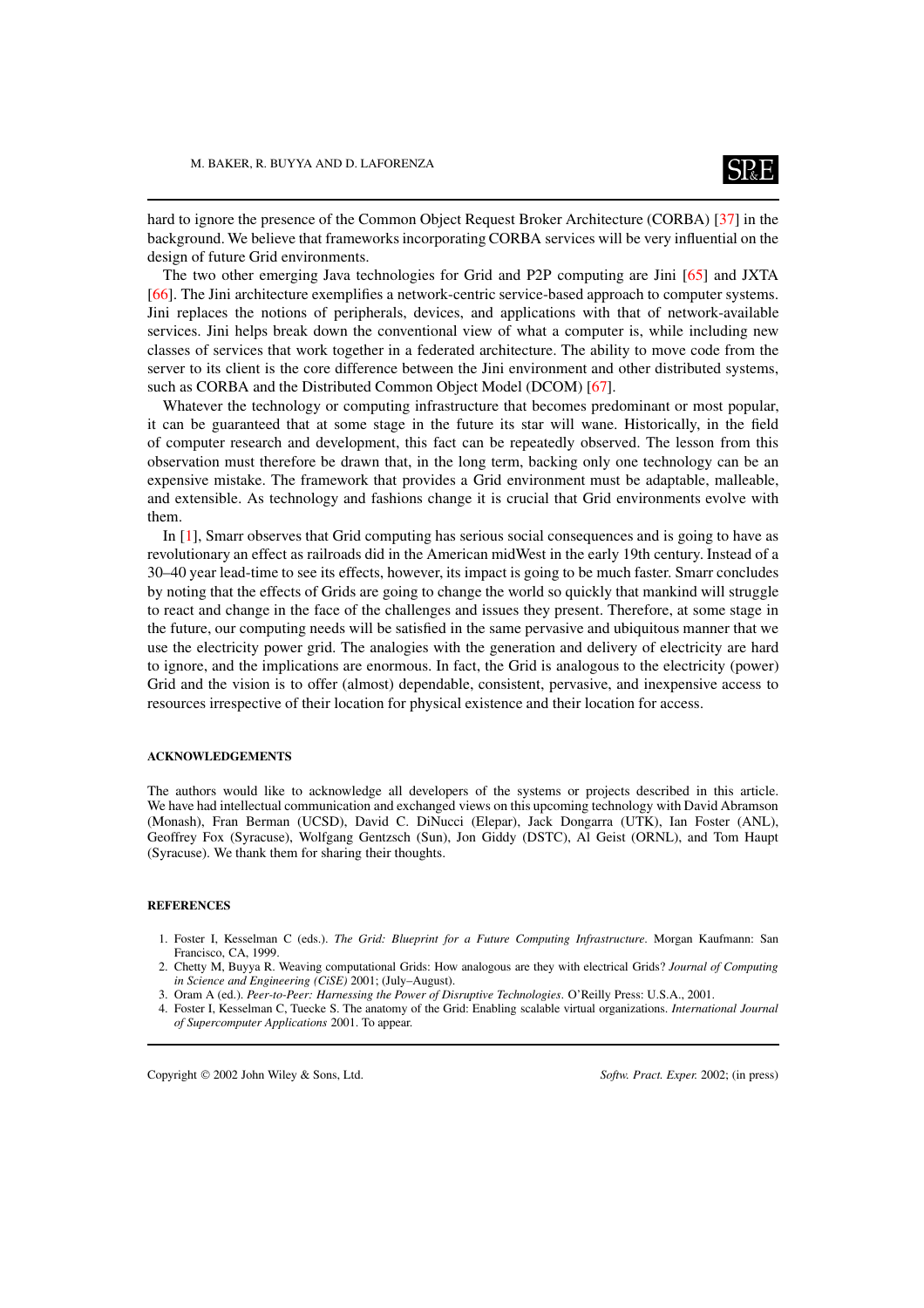hard to ignore the presence of the Common Object Request Broker Architecture (CORBA) [\[37](#page-29-3)] in the background. We believe that frameworks incorporating CORBA services will be very influential on the design of future Grid environments.

The two other emerging Java technologies for Grid and P2P computing are Jini [[65\]](#page-29-33) and JXTA [\[66](#page-29-32)]. The Jini architecture exemplifies a network-centric service-based approach to computer systems. Jini replaces the notions of peripherals, devices, and applications with that of network-available services. Jini helps break down the conventional view of what a computer is, while including new classes of services that work together in a federated architecture. The ability to move code from the server to its client is the core difference between the Jini environment and other distributed systems, such as CORBA and the Distributed Common Object Model (DCOM) [\[67\]](#page-29-31).

Whatever the technology or computing infrastructure that becomes predominant or most popular, it can be guaranteed that at some stage in the future its star will wane. Historically, in the field of computer research and development, this fact can be repeatedly observed. The lesson from this observation must therefore be drawn that, in the long term, backing only one technology can be an expensive mistake. The framework that provides a Grid environment must be adaptable, malleable, and extensible. As technology and fashions change it is crucial that Grid environments evolve with them.

In [\[1](#page-27-3)], Smarr observes that Grid computing has serious social consequences and is going to have as revolutionary an effect as railroads did in the American midWest in the early 19th century. Instead of a 30–40 year lead-time to see its effects, however, its impact is going to be much faster. Smarr concludes by noting that the effects of Grids are going to change the world so quickly that mankind will struggle to react and change in the face of the challenges and issues they present. Therefore, at some stage in the future, our computing needs will be satisfied in the same pervasive and ubiquitous manner that we use the electricity power grid. The analogies with the generation and delivery of electricity are hard to ignore, and the implications are enormous. In fact, the Grid is analogous to the electricity (power) Grid and the vision is to offer (almost) dependable, consistent, pervasive, and inexpensive access to resources irrespective of their location for physical existence and their location for access.

#### **ACKNOWLEDGEMENTS**

The authors would like to acknowledge all developers of the systems or projects described in this article. We have had intellectual communication and exchanged views on this upcoming technology with David Abramson (Monash), Fran Berman (UCSD), David C. DiNucci (Elepar), Jack Dongarra (UTK), Ian Foster (ANL), Geoffrey Fox (Syracuse), Wolfgang Gentzsch (Sun), Jon Giddy (DSTC), Al Geist (ORNL), and Tom Haupt (Syracuse). We thank them for sharing their thoughts.

#### **REFERENCES**

- <span id="page-27-3"></span>1. Foster I, Kesselman C (eds.). *The Grid: Blueprint for a Future Computing Infrastructure*. Morgan Kaufmann: San Francisco, CA, 1999.
- <span id="page-27-1"></span>2. Chetty M, Buyya R. Weaving computational Grids: How analogous are they with electrical Grids? *Journal of Computing in Science and Engineering (CiSE)* 2001; (July–August).
- <span id="page-27-0"></span>3. Oram A (ed.). *Peer-to-Peer: Harnessing the Power of Disruptive Technologies*. O'Reilly Press: U.S.A., 2001.
- <span id="page-27-2"></span>4. Foster I, Kesselman C, Tuecke S. The anatomy of the Grid: Enabling scalable virtual organizations. *International Journal of Supercomputer Applications* 2001. To appear.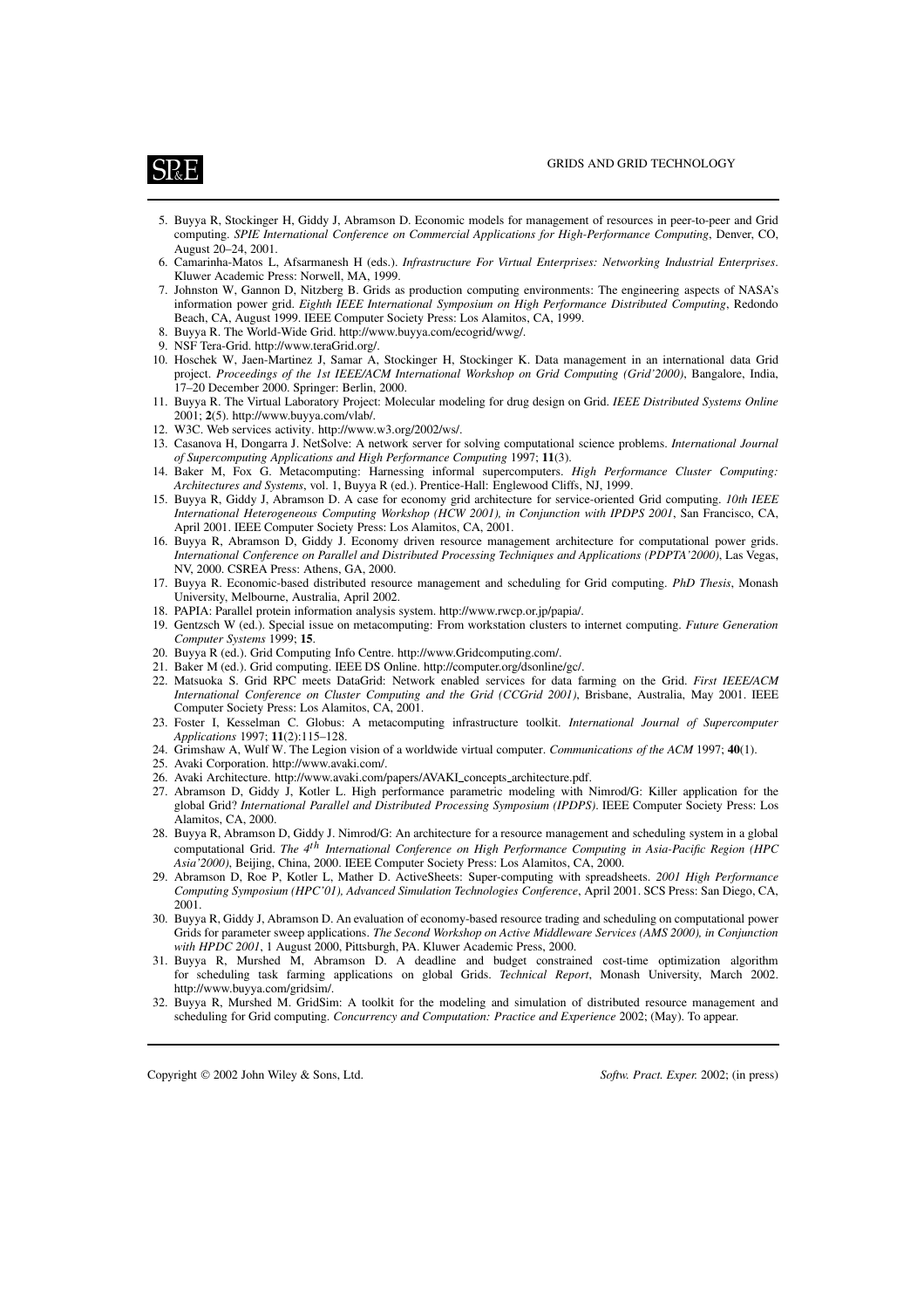- <span id="page-28-0"></span>5. Buyya R, Stockinger H, Giddy J, Abramson D. Economic models for management of resources in peer-to-peer and Grid computing. *SPIE International Conference on Commercial Applications for High-Performance Computing*, Denver, CO, August 20–24, 2001.
- <span id="page-28-1"></span>6. Camarinha-Matos L, Afsarmanesh H (eds.). *Infrastructure For Virtual Enterprises: Networking Industrial Enterprises*. Kluwer Academic Press: Norwell, MA, 1999.
- <span id="page-28-4"></span>7. Johnston W, Gannon D, Nitzberg B. Grids as production computing environments: The engineering aspects of NASA's information power grid. *Eighth IEEE International Symposium on High Performance Distributed Computing*, Redondo Beach, CA, August 1999. IEEE Computer Society Press: Los Alamitos, CA, 1999.
- <span id="page-28-2"></span>8. Buyya R. The World-Wide Grid. http://www.buyya.com/ecogrid/wwg/.
- <span id="page-28-7"></span><span id="page-28-3"></span>9. NSF Tera-Grid. http://www.teraGrid.org/.
- 10. Hoschek W, Jaen-Martinez J, Samar A, Stockinger H, Stockinger K. Data management in an international data Grid project. *Proceedings of the 1st IEEE/ACM International Workshop on Grid Computing (Grid'2000)*, Bangalore, India, 17–20 December 2000. Springer: Berlin, 2000.
- <span id="page-28-5"></span>11. Buyya R. The Virtual Laboratory Project: Molecular modeling for drug design on Grid. *IEEE Distributed Systems Online* 2001; **2**(5). http://www.buyya.com/vlab/.
- <span id="page-28-6"></span>12. W3C. Web services activity. http://www.w3.org/2002/ws/.
- <span id="page-28-8"></span>13. Casanova H, Dongarra J. NetSolve: A network server for solving computational science problems. *International Journal of Supercomputing Applications and High Performance Computing* 1997; **11**(3).
- <span id="page-28-10"></span>14. Baker M, Fox G. Metacomputing: Harnessing informal supercomputers. *High Performance Cluster Computing: Architectures and Systems*, vol. 1, Buyya R (ed.). Prentice-Hall: Englewood Cliffs, NJ, 1999.
- <span id="page-28-9"></span>15. Buyya R, Giddy J, Abramson D. A case for economy grid architecture for service-oriented Grid computing. *10th IEEE International Heterogeneous Computing Workshop (HCW 2001), in Conjunction with IPDPS 2001*, San Francisco, CA, April 2001. IEEE Computer Society Press: Los Alamitos, CA, 2001.
- <span id="page-28-14"></span>16. Buyya R, Abramson D, Giddy J. Economy driven resource management architecture for computational power grids. *International Conference on Parallel and Distributed Processing Techniques and Applications (PDPTA'2000)*, Las Vegas, NV, 2000. CSREA Press: Athens, GA, 2000.
- <span id="page-28-12"></span>17. Buyya R. Economic-based distributed resource management and scheduling for Grid computing. *PhD Thesis*, Monash University, Melbourne, Australia, April 2002.
- <span id="page-28-13"></span><span id="page-28-11"></span>18. PAPIA: Parallel protein information analysis system. http://www.rwcp.or.jp/papia/.
- 19. Gentzsch W (ed.). Special issue on metacomputing: From workstation clusters to internet computing. *Future Generation Computer Systems* 1999; **15**.
- 20. Buyya R (ed.). Grid Computing Info Centre. http://www.Gridcomputing.com/.
- 21. Baker M (ed.). Grid computing. IEEE DS Online. http://computer.org/dsonline/gc/.
- <span id="page-28-16"></span>22. Matsuoka S. Grid RPC meets DataGrid: Network enabled services for data farming on the Grid. *First IEEE/ACM International Conference on Cluster Computing and the Grid (CCGrid 2001)*, Brisbane, Australia, May 2001. IEEE Computer Society Press: Los Alamitos, CA, 2001.
- <span id="page-28-15"></span>23. Foster I, Kesselman C. Globus: A metacomputing infrastructure toolkit. *International Journal of Supercomputer Applications* 1997; **11**(2):115–128.
- <span id="page-28-17"></span>24. Grimshaw A, Wulf W. The Legion vision of a worldwide virtual computer. *Communications of the ACM* 1997; **40**(1).
- <span id="page-28-19"></span>25. Avaki Corporation. http://www.avaki.com/.
- <span id="page-28-20"></span>26. Avaki Architecture. http://www.avaki.com/papers/AVAKI concepts architecture.pdf.
- <span id="page-28-21"></span>27. Abramson D, Giddy J, Kotler L. High performance parametric modeling with Nimrod/G: Killer application for the global Grid? *International Parallel and Distributed Processing Symposium (IPDPS)*. IEEE Computer Society Press: Los Alamitos, CA, 2000.
- <span id="page-28-22"></span>28. Buyya R, Abramson D, Giddy J. Nimrod/G: An architecture for a resource management and scheduling system in a global computational Grid. *The 4th International Conference on High Performance Computing in Asia-Pacific Region (HPC Asia'2000)*, Beijing, China, 2000. IEEE Computer Society Press: Los Alamitos, CA, 2000.
- <span id="page-28-18"></span>29. Abramson D, Roe P, Kotler L, Mather D. ActiveSheets: Super-computing with spreadsheets. *2001 High Performance Computing Symposium (HPC'01), Advanced Simulation Technologies Conference*, April 2001. SCS Press: San Diego, CA, 2001.
- <span id="page-28-25"></span>30. Buyya R, Giddy J, Abramson D. An evaluation of economy-based resource trading and scheduling on computational power Grids for parameter sweep applications. *The Second Workshop on Active Middleware Services (AMS 2000), in Conjunction with HPDC 2001*, 1 August 2000, Pittsburgh, PA. Kluwer Academic Press, 2000.
- <span id="page-28-23"></span>31. Buyya R, Murshed M, Abramson D. A deadline and budget constrained cost-time optimization algorithm for scheduling task farming applications on global Grids. *Technical Report*, Monash University, March 2002. http://www.buyya.com/gridsim/.
- <span id="page-28-26"></span><span id="page-28-24"></span>32. Buyya R, Murshed M. GridSim: A toolkit for the modeling and simulation of distributed resource management and scheduling for Grid computing. *Concurrency and Computation: Practice and Experience* 2002; (May). To appear.